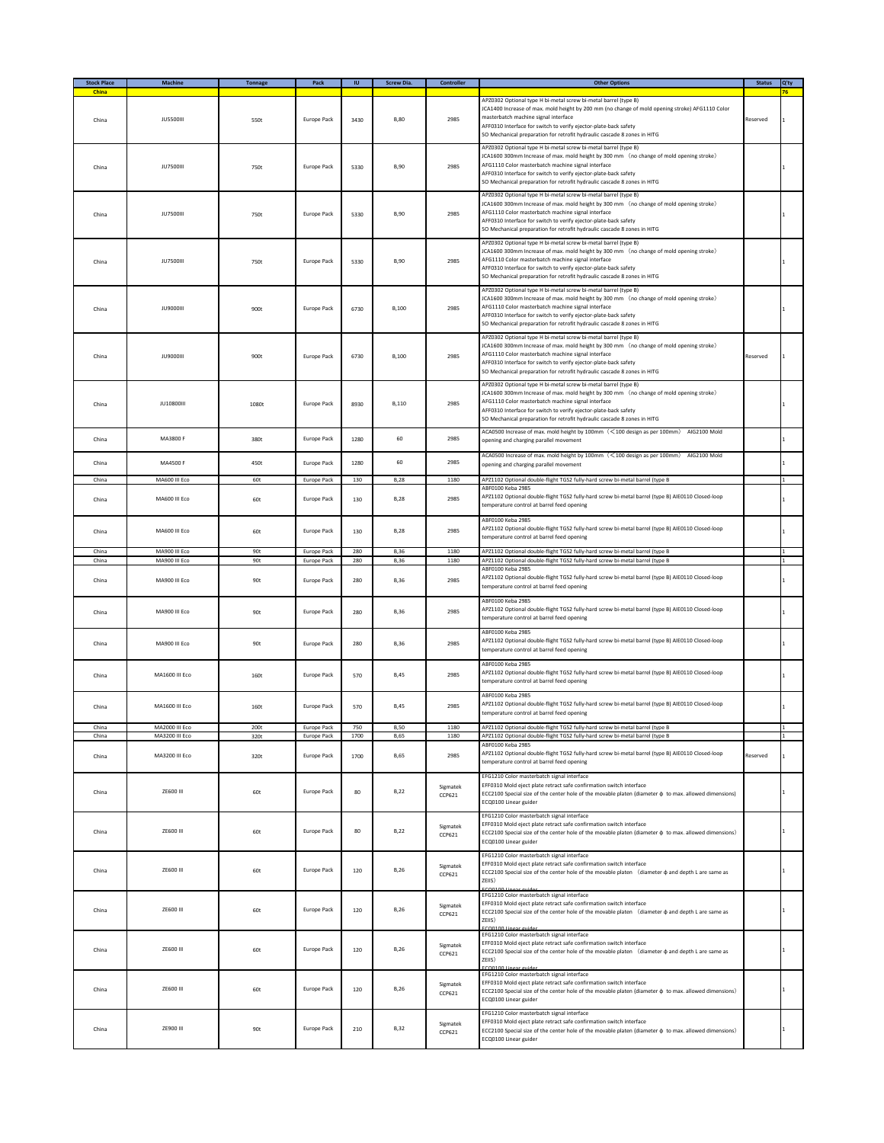| <b>Stock Place</b><br>China | Machine                          | <b>Tonnage</b>         | Pack                              | $\mathsf{I}\mathsf{U}$ | <b>Screw Dia.</b>          | Controller         | <b>Other Options</b>                                                                                                                                                                                                                                                                                                                                             | <b>Status</b> | Q'ty |
|-----------------------------|----------------------------------|------------------------|-----------------------------------|------------------------|----------------------------|--------------------|------------------------------------------------------------------------------------------------------------------------------------------------------------------------------------------------------------------------------------------------------------------------------------------------------------------------------------------------------------------|---------------|------|
| China                       | <b>JU5500III</b>                 | 550t                   | <b>Europe Pack</b>                | 3430                   | <b>B,80</b>                | 2985               | APZ0302 Optional type H bi-metal screw bi-metal barrel (type B)<br>JCA1400 Increase of max. mold height by 200 mm (no change of mold opening stroke) AFG1110 Color<br>masterbatch machine signal interface<br>AFF0310 Interface for switch to verify ejector-plate-back safety<br>SO Mechanical preparation for retrofit hydraulic cascade 8 zones in HITG       | Reserved      |      |
| China                       | <b>JU7500III</b>                 | 750t                   | <b>Europe Pack</b>                | 5330                   | <b>B,90</b>                | 2985               | APZ0302 Optional type H bi-metal screw bi-metal barrel (type B)<br>JCA1600 300mm Increase of max. mold height by 300 mm (no change of mold opening stroke)<br>AFG1110 Color masterbatch machine signal interface<br>AFF0310 Interface for switch to verify ejector-plate-back safety<br>SO Mechanical preparation for retrofit hydraulic cascade 8 zones in HITG |               |      |
| China                       | <b>JU7500III</b>                 | 750t                   | Europe Pack                       | 5330                   | <b>B,90</b>                | 2985               | APZ0302 Optional type H bi-metal screw bi-metal barrel (type B)<br>JCA1600 300mm Increase of max. mold height by 300 mm (no change of mold opening stroke)<br>AFG1110 Color masterbatch machine signal interface<br>AFF0310 Interface for switch to verify ejector-plate-back safety<br>SO Mechanical preparation for retrofit hydraulic cascade 8 zones in HITG |               |      |
| China                       | <b>JU7500III</b>                 | 750t                   | <b>Europe Pack</b>                | 5330                   | <b>B,90</b>                | 2985               | APZ0302 Optional type H bi-metal screw bi-metal barrel (type B)<br>JCA1600 300mm Increase of max. mold height by 300 mm (no change of mold opening stroke)<br>AFG1110 Color masterbatch machine signal interface<br>AFF0310 Interface for switch to verify ejector-plate-back safety<br>SO Mechanical preparation for retrofit hydraulic cascade 8 zones in HITG |               |      |
| China                       | <b>JU9000III</b>                 | 900t                   | Europe Pack                       | 6730                   | <b>B.100</b>               | 2985               | APZ0302 Optional type H bi-metal screw bi-metal barrel (type B)<br>JCA1600 300mm Increase of max. mold height by 300 mm (no change of mold opening stroke)<br>AFG1110 Color masterbatch machine signal interface<br>AFF0310 Interface for switch to verify ejector-plate-back safety<br>SO Mechanical preparation for retrofit hydraulic cascade 8 zones in HITG |               |      |
| China                       | <b>JU9000III</b>                 | 900t                   | <b>Europe Pack</b>                | 6730                   | <b>B.100</b>               | 2985               | APZ0302 Optional type H bi-metal screw bi-metal barrel (type B)<br>JCA1600 300mm Increase of max. mold height by 300 mm (no change of mold opening stroke)<br>AFG1110 Color masterbatch machine signal interface<br>AFF0310 Interface for switch to verify ejector-plate-back safety<br>SO Mechanical preparation for retrofit hydraulic cascade 8 zones in HITG | Reserved      |      |
| China                       | <b>JU10800III</b>                | 1080t                  | Europe Pack                       | 8930                   | B,110                      | 2985               | APZ0302 Optional type H bi-metal screw bi-metal barrel (type B)<br>JCA1600 300mm Increase of max. mold height by 300 mm (no change of mold opening stroke)<br>AFG1110 Color masterbatch machine signal interface<br>AFF0310 Interface for switch to verify ejector-plate-back safety<br>SO Mechanical preparation for retrofit hydraulic cascade 8 zones in HITG |               |      |
| China                       | MA3800 F                         | 380t                   | <b>Europe Pack</b>                | 1280                   | 60                         | 2985               | ACA0500 Increase of max. mold height by 100mm (<100 design as per 100mm) AIG2100 Mold<br>opening and charging parallel movement                                                                                                                                                                                                                                  |               |      |
| China                       | MA4500 F                         | 450t                   | Europe Pack                       | 1280                   | 60                         | 2985               | ACA0500 Increase of max. mold height by 100mm (<100 design as per 100mm) AIG2100 Mold<br>opening and charging parallel movement                                                                                                                                                                                                                                  |               |      |
| China                       | MA600 III Eco                    | 60t                    | Europe Pack                       | 130                    | <b>B</b> ,28               | 1180               | APZ1102 Optional double-flight TGS2 fully-hard screw bi-metal barrel (type B<br>ABF0100 Keba 2985                                                                                                                                                                                                                                                                |               |      |
| China                       | MA600 III Eco                    | 60t                    | <b>Europe Pack</b>                | 130                    | <b>B,28</b>                | 2985               | APZ1102 Optional double-flight TGS2 fully-hard screw bi-metal barrel (type B) AIE0110 Closed-loop<br>temperature control at barrel feed opening<br>ABF0100 Keba 2985                                                                                                                                                                                             |               |      |
| China                       | MA600 III Eco                    | 60t                    | <b>Europe Pack</b>                | 130                    | <b>B,28</b>                | 2985               | APZ1102 Optional double-flight TGS2 fully-hard screw bi-metal barrel (type B) AIE0110 Closed-loop<br>temperature control at barrel feed opening                                                                                                                                                                                                                  |               |      |
| China<br>China              | MA900 III Fro<br>MA900 III Eco   | 90 <sub>t</sub><br>90t | Europe Pack<br><b>Europe Pack</b> | 280<br>280             | <b>B.36</b><br>B,36        | 1180<br>1180       | APZ1102 Optional double-flight TGS2 fully-hard screw bi-metal barrel (type B<br>APZ1102 Optional double-flight TGS2 fully-hard screw bi-metal barrel (type B                                                                                                                                                                                                     |               |      |
| China                       | MA900 III Eco                    | 90t                    | <b>Europe Pack</b>                | 280                    | <b>B,36</b>                | 2985               | ABF0100 Keba 2985<br>APZ1102 Optional double-flight TGS2 fully-hard screw bi-metal barrel (type B) AIE0110 Closed-loop<br>temperature control at barrel feed opening                                                                                                                                                                                             |               |      |
| China                       | MA900 III Eco                    | 90t                    | <b>Europe Pack</b>                | 280                    | <b>B.36</b>                | 2985               | ABF0100 Keba 2985<br>APZ1102 Optional double-flight TGS2 fully-hard screw bi-metal barrel (type B) AIE0110 Closed-loop<br>temperature control at barrel feed opening<br>ABF0100 Keba 2985                                                                                                                                                                        |               |      |
| China                       | MA900 III Eco                    | 90t                    | Europe Pack                       | 280                    | <b>B,36</b>                | 2985               | APZ1102 Optional double-flight TGS2 fully-hard screw bi-metal barrel (type B) AIE0110 Closed-loop<br>temperature control at barrel feed opening<br>ABF0100 Keba 2985                                                                                                                                                                                             |               |      |
| China                       | MA1600 III Eco                   | 160t                   | Europe Pack                       | 570                    | <b>B,45</b>                | 2985               | APZ1102 Optional double-flight TGS2 fully-hard screw bi-metal barrel (type B) AIE0110 Closed-loop<br>temperature control at barrel feed opening                                                                                                                                                                                                                  |               |      |
| China                       | MA1600 III Eco                   | 160t                   | Europe Pack                       | 570                    | <b>B,45</b>                | 2985               | ABF0100 Keba 2985<br>APZ1102 Optional double-flight TGS2 fully-hard screw bi-metal barrel (type B) AIE0110 Closed-loop<br>temperature control at barrel feed opening                                                                                                                                                                                             |               |      |
| China<br>China              | MA2000 III Eco<br>MA3200 III Eco | 2001<br>320t           | <b>Europe Pack</b><br>Europe Pack | 750<br>1700            | <b>B,50</b><br><b>B,65</b> | 1180<br>1180       | APZ1102 Optional double-flight TGS2 fully-hard screw bi-metal barrel (type B<br>APZ1102 Optional double-flight TGS2 fully-hard screw bi-metal barrel (type B                                                                                                                                                                                                     |               |      |
| China                       | MA3200 III Eco                   | 320t                   | Europe Pack                       | 1700                   | <b>B,65</b>                | 2985               | ABF0100 Keba 2985<br>APZ1102 Optional double-flight TGS2 fully-hard screw bi-metal barrel (type B) AIE0110 Closed-loop<br>temperature control at barrel feed opening                                                                                                                                                                                             | Reserved      |      |
| China                       | ZE600 III                        | 60t                    | Europe Pack                       | 80                     | <b>B,22</b>                | Sigmatek<br>CCP621 | EFG1210 Color masterbatch signal interface<br>EFF0310 Mold eject plate retract safe confirmation switch interface<br>ECC2100 Special size of the center hole of the movable platen (diameter $\phi$ to max. allowed dimensions)<br>ECQ0100 Linear guider                                                                                                         |               |      |
| China                       | ZE600 III                        | 60t                    | Europe Pack                       | 80                     | <b>B,22</b>                | Sigmatek<br>CCP621 | EFG1210 Color masterbatch signal interface<br>EFF0310 Mold eject plate retract safe confirmation switch interface<br>ECC2100 Special size of the center hole of the movable platen (diameter $\phi$ to max. allowed dimensions)<br>ECQ0100 Linear guider                                                                                                         |               |      |
| China                       | ZE600 III                        | 60t                    | Europe Pack                       | 120                    | <b>B,26</b>                | Sigmatek<br>CCP621 | EFG1210 Color masterbatch signal interface<br>EFF0310 Mold eject plate retract safe confirmation switch interface<br>ECC2100 Special size of the center hole of the movable platen (diameter $\phi$ and depth L are same as<br>ZEIIS)<br>FCO0100 Linear guider                                                                                                   |               |      |
| China                       | ZE600 III                        | 60t                    | <b>Europe Pack</b>                | 120                    | <b>B,26</b>                | Sigmatek<br>CCP621 | EFG1210 Color masterbatch signal interface<br>EFF0310 Mold eject plate retract safe confirmation switch interface<br>ECC2100 Special size of the center hole of the movable platen (diameter $\phi$ and depth L are same as<br>ZEIIS)<br>FCO0100 Lis                                                                                                             |               |      |
| China                       | ZE600 III                        | 60t                    | Europe Pack                       | 120                    | <b>B,26</b>                | Sigmatek<br>CCP621 | EFG1210 Color masterbatch signal interface<br>EFF0310 Mold eject plate retract safe confirmation switch interface<br>ECC2100 Special size of the center hole of the movable platen (diameter $\phi$ and depth L are same as<br>ZEIIS)                                                                                                                            |               |      |
| China                       | ZE600 III                        | 60t                    | Europe Pack                       | 120                    | <b>B,26</b>                | Sigmatek<br>CCP621 | EFG1210 Color masterbatch signal interface<br>EFF0310 Mold eject plate retract safe confirmation switch interface<br>ECC2100 Special size of the center hole of the movable platen (diameter $\phi$ to max. allowed dimensions)<br>ECQ0100 Linear guider                                                                                                         |               |      |
| China                       | ZE900 III                        | 90t                    | Europe Pack                       | 210                    | <b>B,32</b>                | Sigmatek<br>CCP621 | EFG1210 Color masterbatch signal interface<br>EFF0310 Mold eject plate retract safe confirmation switch interface<br>ECC2100 Special size of the center hole of the movable platen (diameter $\phi$ to max. allowed dimensions)<br>ECQ0100 Linear guider                                                                                                         |               |      |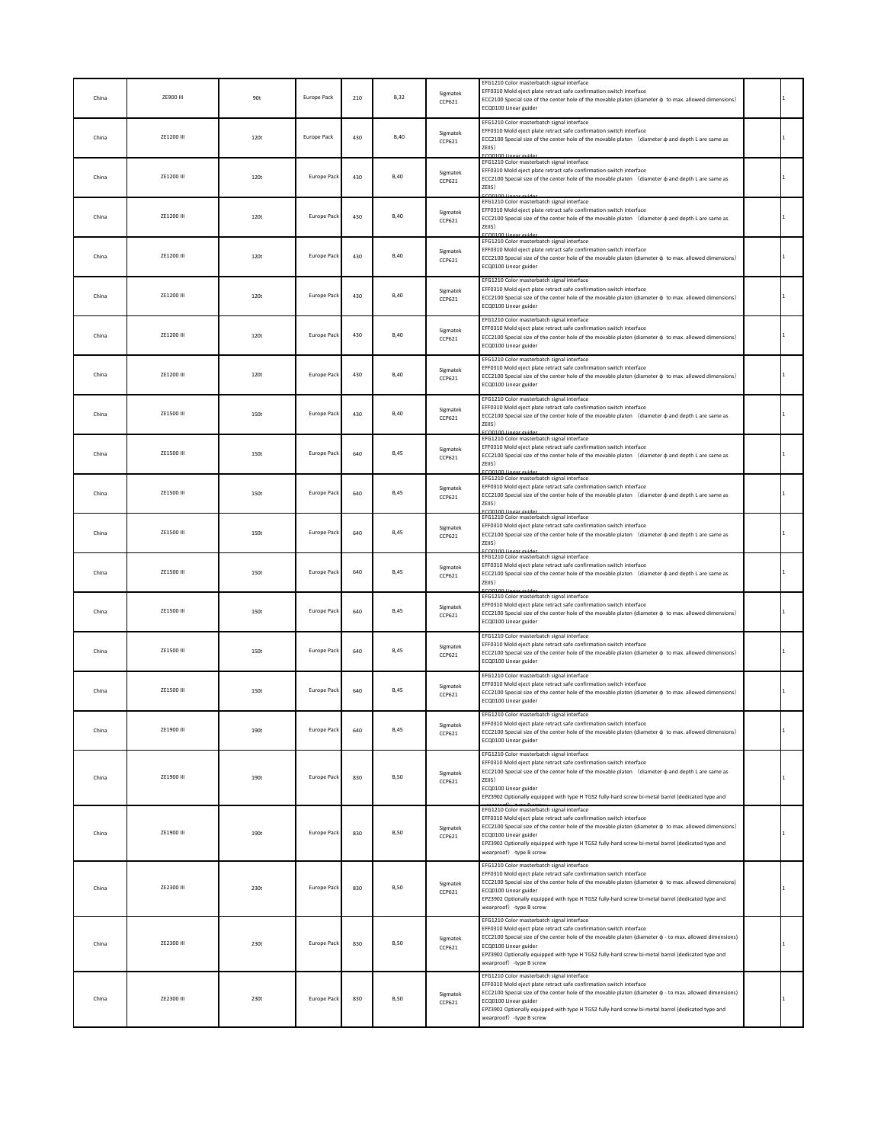| China | ZE900 III  | 90t  | <b>Europe Pack</b> | 210 | <b>B,32</b> | Sigmatek<br>CCP621        | EFG1210 Color masterbatch signal interface<br>EFF0310 Mold eject plate retract safe confirmation switch interface<br>ECC2100 Special size of the center hole of the movable platen (diameter $\phi$ to max. allowed dimensions)<br>ECQ0100 Linear guider                                                                                                                                    |  |
|-------|------------|------|--------------------|-----|-------------|---------------------------|---------------------------------------------------------------------------------------------------------------------------------------------------------------------------------------------------------------------------------------------------------------------------------------------------------------------------------------------------------------------------------------------|--|
| China | ZE1200 III | 120t | Europe Pack        | 430 | <b>B,40</b> | Sigmatek<br>CCP621        | EFG1210 Color masterbatch signal interface<br>EFF0310 Mold eject plate retract safe confirmation switch interface<br>ECC2100 Special size of the center hole of the movable platen (diameter $\phi$ and depth L are same as<br>ZEIIS)                                                                                                                                                       |  |
| China | ZE1200 III | 120t | Europe Pack        | 430 | <b>B,40</b> | Sigmatek<br>CCP621        | EFG1210 Color masterbatch signal interface<br>EFF0310 Mold eject plate retract safe confirmation switch interface<br>ECC2100 Special size of the center hole of the movable platen (diameter $\phi$ and depth L are same as<br>ZEIIS)                                                                                                                                                       |  |
| China | ZE1200 III | 120t | <b>Europe Pack</b> | 430 | <b>B,40</b> | Sigmatek<br>CCP621        | EFG1210 Color masterbatch signal interface<br>EFF0310 Mold eject plate retract safe confirmation switch interface<br>ECC2100 Special size of the center hole of the movable platen (diameter $\phi$ and depth L are same as<br>ZEIIS)                                                                                                                                                       |  |
| China | ZE1200 III | 120t | Europe Pack        | 430 | <b>B,40</b> | Sigmatek<br>CCP621        | EFG1210 Color masterbatch signal interface<br>EFF0310 Mold eject plate retract safe confirmation switch interface<br>ECC2100 Special size of the center hole of the movable platen (diameter $\phi$ to max. allowed dimensions)<br>ECQ0100 Linear guider                                                                                                                                    |  |
| China | ZE1200 III | 120t | <b>Europe Pack</b> | 430 | <b>B,40</b> | Sigmatek<br>CCP621        | EFG1210 Color masterbatch signal interface<br>EFF0310 Mold eject plate retract safe confirmation switch interface<br>ECC2100 Special size of the center hole of the movable platen (diameter $\phi$ to max. allowed dimensions)<br>ECQ0100 Linear guider                                                                                                                                    |  |
| China | ZE1200 III | 120t | <b>Europe Pack</b> | 430 | <b>B,40</b> | Sigmatek<br>CCP621        | EFG1210 Color masterbatch signal interface<br>EFF0310 Mold eject plate retract safe confirmation switch interface<br>ECC2100 Special size of the center hole of the movable platen (diameter $\phi$ to max. allowed dimensions)<br>ECQ0100 Linear guider                                                                                                                                    |  |
| China | ZE1200 III | 120t | <b>Europe Pack</b> | 430 | <b>B,40</b> | Sigmatek<br>CCP621        | EFG1210 Color masterbatch signal interface<br>EFF0310 Mold eject plate retract safe confirmation switch interface<br>ECC2100 Special size of the center hole of the movable platen (diameter $\phi$ to max. allowed dimensions)<br>ECQ0100 Linear guider                                                                                                                                    |  |
| China | ZE1500 III | 150t | <b>Europe Pack</b> | 430 | <b>B,40</b> | Sigmatek<br>CCP621        | EFG1210 Color masterbatch signal interface<br>EFF0310 Mold eject plate retract safe confirmation switch interface<br>ECC2100 Special size of the center hole of the movable platen (diameter $\phi$ and depth L are same as<br>ZEIIS)                                                                                                                                                       |  |
| China | ZE1500 III | 150t | Europe Pack        | 640 | <b>B,45</b> | Sigmatek<br>CCP621        | EFG1210 Color masterbatch signal interface<br>EFF0310 Mold eject plate retract safe confirmation switch interface<br>ECC2100 Special size of the center hole of the movable platen (diameter $\phi$ and depth L are same as<br>ZEIIS)                                                                                                                                                       |  |
| China | ZE1500 III | 150t | <b>Europe Pack</b> | 640 | <b>B,45</b> | Sigmatek<br>CCP621        | EFG1210 Color masterbatch signal interface<br>EEE0310 Mold eject plate retract safe confirmation switch interface<br>ECC2100 Special size of the center hole of the movable platen (diameter $\phi$ and depth L are same as<br>ZEIIS)                                                                                                                                                       |  |
| China | ZE1500 III | 150t | Europe Pack        | 640 | <b>B,45</b> | Sigmatek<br>CCP621        | EFG1210 Color masterbatch signal interface<br>EFF0310 Mold eject plate retract safe confirmation switch interface<br>ECC2100 Special size of the center hole of the movable platen (diameter $\phi$ and depth L are same as<br>ZEIIS)                                                                                                                                                       |  |
| China | ZE1500 III | 150t | <b>Europe Pack</b> | 640 | <b>B,45</b> | Sigmatek<br><b>CCP621</b> | EFG1210 Color masterbatch signal interface<br>EFF0310 Mold eject plate retract safe confirmation switch interface<br>ECC2100 Special size of the center hole of the movable platen (diameter $\phi$ and depth L are same as<br>ZEIIS)                                                                                                                                                       |  |
| China | ZE1500 III | 150t | <b>Europe Pack</b> | 640 | <b>B,45</b> | Sigmatek<br>CCP621        | EFG1210 Color masterbatch signal interface<br>EFF0310 Mold eject plate retract safe confirmation switch interface<br>ECC2100 Special size of the center hole of the movable platen (diameter $\phi$ to max. allowed dimensions)<br>ECQ0100 Linear guider                                                                                                                                    |  |
| China | ZE1500 III | 150t | <b>Europe Pack</b> | 640 | <b>B,45</b> | Sigmatek<br>CCP621        | EFG1210 Color masterbatch signal interface<br>EFF0310 Mold eject plate retract safe confirmation switch interface<br>ECC2100 Special size of the center hole of the movable platen (diameter $\phi$ to max. allowed dimensions)<br>ECQ0100 Linear guider                                                                                                                                    |  |
| China | ZE1500 III | 150t | Europe Pack        | 640 | <b>B,45</b> | Sigmatek<br>CCP621        | EFG1210 Color masterbatch signal interface<br>EFF0310 Mold eject plate retract safe confirmation switch interface<br>ECC2100 Special size of the center hole of the movable platen (diameter $\phi$ to max. allowed dimensions)<br>ECQ0100 Linear guider                                                                                                                                    |  |
| China | ZE1900 III | 190t | Europe Pack        | 640 | B,45        | Sigmatek<br>CCP621        | EFG1210 Color masterbatch signal interface<br>EFF0310 Mold eject plate retract safe confirmation switch interface<br>ECC2100 Special size of the center hole of the movable platen (diameter $\phi$ to max. allowed dimensions)<br>ECQ0100 Linear guider                                                                                                                                    |  |
| China | ZE1900 III | 190t | Europe Pack        | 830 | <b>B,50</b> | Sigmatek<br>CCP621        | EFG1210 Color masterbatch signal interface<br>EFF0310 Mold eject plate retract safe confirmation switch interface<br>ECC2100 Special size of the center hole of the movable platen (diameter $\phi$ and depth L are same as<br>ZEIIS)<br>ECQ0100 Linear guider<br>EPZ3902 Optionally equipped with type H TGS2 fully-hard screw bi-metal barrel (dedicated type and                         |  |
| China | ZE1900 III | 190t | Europe Pack        | 830 | <b>B,50</b> | Sigmatek<br>CCP621        | EFG1210 Color masterbatch signal interface<br>EFF0310 Mold eject plate retract safe confirmation switch interface<br>ECC2100 Special size of the center hole of the movable platen (diameter $\phi$ to max. allowed dimensions)<br>ECQ0100 Linear guider<br>EPZ3902 Optionally equipped with type H TGS2 fully-hard screw bi-metal barrel (dedicated type and<br>wearproof) -type B screw   |  |
| China | ZE2300 III | 230t | <b>Europe Pack</b> | 830 | <b>B,50</b> | Sigmatek<br>CCP621        | EFG1210 Color masterbatch signal interface<br>EFF0310 Mold eject plate retract safe confirmation switch interface<br>ECC2100 Special size of the center hole of the movable platen (diameter $\phi$ to max. allowed dimensions)<br>ECQ0100 Linear guider<br>EPZ3902 Optionally equipped with type H TGS2 fully-hard screw bi-metal barrel (dedicated type and<br>wearproof) -type B screw   |  |
| China | ZE2300 III | 230t | <b>Europe Pack</b> | 830 | <b>B.50</b> | Sigmatek<br>CCP621        | EFG1210 Color masterbatch signal interface<br>EFF0310 Mold eject plate retract safe confirmation switch interface<br>ECC2100 Special size of the center hole of the movable platen (diameter $\phi$ - to max. allowed dimensions)<br>ECQ0100 Linear guider<br>EPZ3902 Optionally equipped with type H TGS2 fully-hard screw bi-metal barrel (dedicated type and<br>wearproof) -type B screw |  |
| China | ZE2300 III | 230t | <b>Europe Pack</b> | 830 | <b>B,50</b> | Sigmatek<br>CCP621        | EFG1210 Color masterbatch signal interface<br>EFF0310 Mold eject plate retract safe confirmation switch interface<br>ECC2100 Special size of the center hole of the movable platen (diameter $\phi$ - to max. allowed dimensions)<br>ECQ0100 Linear guider<br>EPZ3902 Optionally equipped with type H TGS2 fully-hard screw bi-metal barrel (dedicated type and<br>wearproof) -type B screw |  |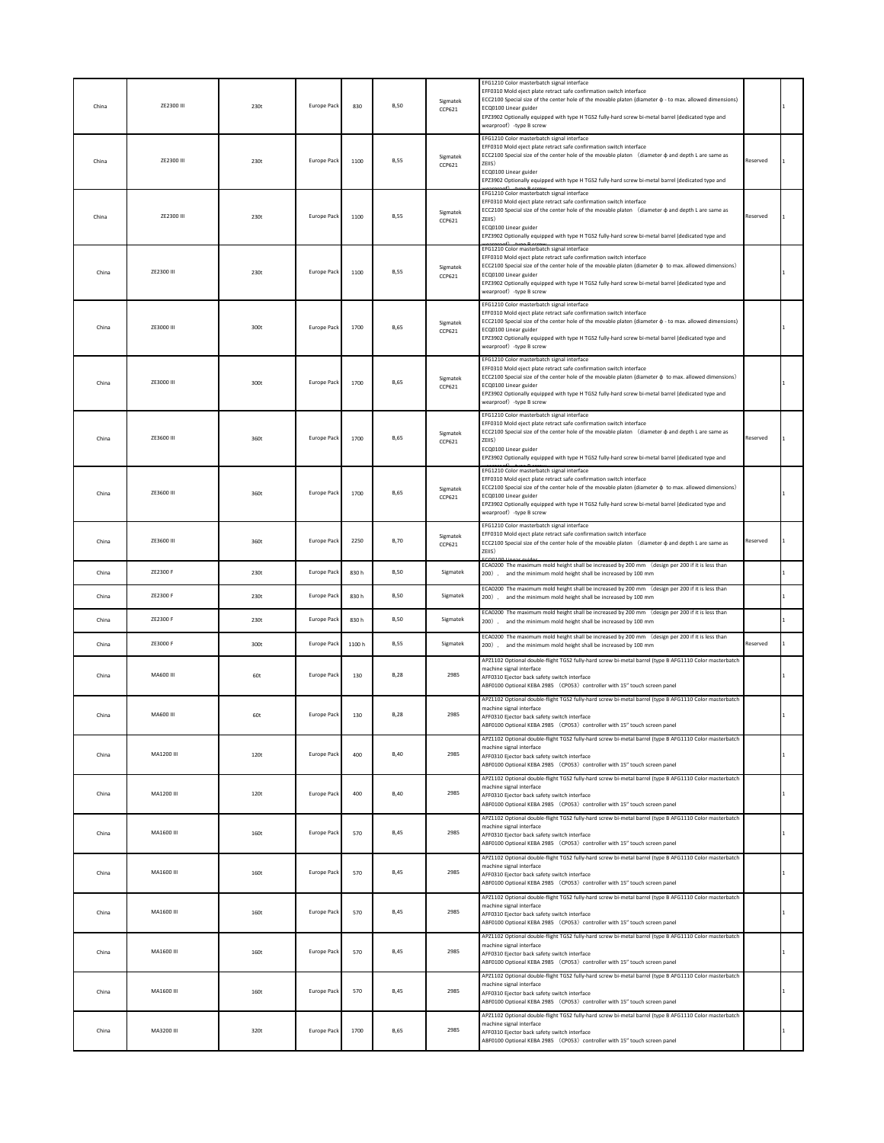| China | ZE2300 III       | 230t | <b>Europe Pack</b> | 830    | <b>B,50</b> | Sigmatek<br>CCP621 | EFG1210 Color masterbatch signal interface<br>EFF0310 Mold eject plate retract safe confirmation switch interface<br>ECC2100 Special size of the center hole of the movable platen (diameter $\phi$ - to max. allowed dimensions)<br>ECQ0100 Linear guider<br>EPZ3902 Optionally equipped with type H TGS2 fully-hard screw bi-metal barrel (dedicated type and<br>wearproof) -type B screw |          |  |
|-------|------------------|------|--------------------|--------|-------------|--------------------|---------------------------------------------------------------------------------------------------------------------------------------------------------------------------------------------------------------------------------------------------------------------------------------------------------------------------------------------------------------------------------------------|----------|--|
| China | ZE2300 III       | 230t | Europe Pack        | 1100   | <b>B,55</b> | Sigmatek<br>CCP621 | EFG1210 Color masterbatch signal interface<br>EFF0310 Mold eject plate retract safe confirmation switch interface<br>ECC2100 Special size of the center hole of the movable platen (diameter $\phi$ and depth L are same as<br>ZEIIS)<br>ECQ0100 Linear guider<br>EPZ3902 Optionally equipped with type H TGS2 fully-hard screw bi-metal barrel (dedicated type and                         | Reserved |  |
| China | ZE2300 III       | 230t | Europe Pack        | 1100   | <b>B,55</b> | Sigmatek<br>CCP621 | EFG1210 Color masterbatch signal interface<br>EFF0310 Mold eject plate retract safe confirmation switch interface<br>ECC2100 Special size of the center hole of the movable platen (diameter $\phi$ and depth L are same as<br>ZEIIS)<br>ECQ0100 Linear guider<br>EPZ3902 Optionally equipped with type H TGS2 fully-hard screw bi-metal barrel (dedicated type and                         | Reserved |  |
| China | ZE2300 III       | 230t | <b>Europe Pack</b> | 1100   | <b>B,55</b> | Sigmatek<br>CCP621 | EFG1210 Color masterbatch signal interface<br>EFF0310 Mold eject plate retract safe confirmation switch interface<br>ECC2100 Special size of the center hole of the movable platen (diameter $\phi$ to max. allowed dimensions)<br>ECQ0100 Linear guider<br>EPZ3902 Optionally equipped with type H TGS2 fully-hard screw bi-metal barrel (dedicated type and<br>wearproof) -type B screw   |          |  |
| China | ZE3000 III       | 300t | Europe Pack        | 1700   | <b>B,65</b> | Sigmatek<br>CCP621 | EFG1210 Color masterbatch signal interface<br>EFF0310 Mold eject plate retract safe confirmation switch interface<br>ECC2100 Special size of the center hole of the movable platen (diameter $\phi$ - to max. allowed dimensions)<br>ECQ0100 Linear guider<br>EPZ3902 Optionally equipped with type H TGS2 fully-hard screw bi-metal barrel (dedicated type and<br>wearproof) -type B screw |          |  |
| China | ZE3000 III       | 300t | <b>Europe Pack</b> | 1700   | <b>B,65</b> | Sigmatek<br>CCP621 | EFG1210 Color masterbatch signal interface<br>EFF0310 Mold eject plate retract safe confirmation switch interface<br>ECC2100 Special size of the center hole of the movable platen (diameter $\phi$ to max. allowed dimensions)<br>ECQ0100 Linear guider<br>EPZ3902 Optionally equipped with type H TGS2 fully-hard screw bi-metal barrel (dedicated type and<br>wearproof) -type B screw   |          |  |
| China | ZE3600 III       | 360t | <b>Europe Pack</b> | 1700   | <b>B,65</b> | Sigmatek<br>CCP621 | EFG1210 Color masterbatch signal interface<br>EFF0310 Mold eject plate retract safe confirmation switch interface<br>ECC2100 Special size of the center hole of the movable platen (diameter $\phi$ and depth L are same as<br>ZEIIS)<br>ECQ0100 Linear guider<br>EPZ3902 Optionally equipped with type H TGS2 fully-hard screw bi-metal barrel (dedicated type and                         | Reserved |  |
| China | ZE3600 III       | 360t | <b>Europe Pack</b> | 1700   | <b>B.65</b> | Sigmatek<br>CCP621 | EFG1210 Color masterbatch signal interface<br>EFF0310 Mold eject plate retract safe confirmation switch interface<br>ECC2100 Special size of the center hole of the movable platen (diameter $\phi$ to max. allowed dimensions)<br>ECQ0100 Linear guider<br>EPZ3902 Optionally equipped with type H TGS2 fully-hard screw bi-metal barrel (dedicated type and<br>wearproof) -type B screw   |          |  |
| China | ZE3600 III       | 360t | <b>Europe Pack</b> | 2250   | <b>B,70</b> | Sigmatek<br>CCP621 | EFG1210 Color masterbatch signal interface<br>EFF0310 Mold eject plate retract safe confirmation switch interface<br>ECC2100 Special size of the center hole of the movable platen (diameter $\phi$ and depth L are same as<br>ZEIIS)                                                                                                                                                       | Reserved |  |
| China | ZE2300 F         | 230t | Europe Pack        | 830h   | <b>B,50</b> | Sigmatek           | ECA0200 The maximum mold height shall be increased by 200 mm (design per 200 if it is less than<br>200). and the minimum mold height shall be increased by 100 mm                                                                                                                                                                                                                           |          |  |
| China | ZE2300 F         | 230t | Europe Pack        | 830 h  | <b>B,50</b> | Sigmatek           | ECA0200 The maximum mold height shall be increased by 200 mm (design per 200 if it is less than<br>200). and the minimum mold height shall be increased by 100 mm                                                                                                                                                                                                                           |          |  |
| China | ZE2300 F         | 230t | Europe Pack        | 830h   | <b>B,50</b> | Sigmatek           | ECA0200 The maximum mold height shall be increased by 200 mm (design per 200 if it is less than<br>200). and the minimum mold height shall be increased by 100 mm                                                                                                                                                                                                                           |          |  |
| China | ZE3000 F         | 300t | Europe Pack        | 1100 h | <b>B,55</b> | Sigmatek           | ECA0200 The maximum mold height shall be increased by 200 mm (design per 200 if it is less than<br>200). and the minimum mold height shall be increased by 100 mm                                                                                                                                                                                                                           | Reserved |  |
| China | <b>MA600 III</b> | 60t  | <b>Europe Pack</b> | 130    | <b>B.28</b> | 2985               | APZ1102 Optional double-flight TGS2 fully-hard screw bi-metal barrel (type B AFG1110 Color masterbatch<br>machine signal interface<br>AFF0310 Fiector back safety switch interface<br>ABF0100 Optional KEBA 2985 (CP053) controller with 15" touch screen panel                                                                                                                             |          |  |
| China | MA600 III        | 60t  | Europe Pack        | 130    | <b>B,28</b> | 2985               | APZ1102 Optional double-flight TGS2 fully-hard screw bi-metal barrel (type B AFG1110 Color masterbatch<br>machine signal interface<br>AFF0310 Ejector back safety switch interface<br>ABF0100 Optional KEBA 2985 (CP053) controller with 15" touch screen panel                                                                                                                             |          |  |
| China | MA1200 III       | 120t | <b>Europe Pack</b> | 400    | <b>B,40</b> | 2985               | APZ1102 Optional double-flight TGS2 fully-hard screw bi-metal barrel (type B AFG1110 Color masterbatch<br>machine signal interface<br>AFF0310 Ejector back safety switch interface<br>ABF0100 Optional KEBA 2985 (CP053) controller with 15" touch screen panel                                                                                                                             |          |  |
| China | MA1200 III       | 120t | <b>Europe Pack</b> | 400    | <b>B,40</b> | 2985               | APZ1102 Optional double-flight TGS2 fully-hard screw bi-metal barrel (type B AFG1110 Color masterbatch<br>machine signal interface<br>AFF0310 Ejector back safety switch interface<br>ABF0100 Optional KEBA 2985 (CP053) controller with 15" touch screen panel                                                                                                                             |          |  |
| China | MA1600 III       | 160t | <b>Europe Pack</b> | 570    | <b>B,45</b> | 2985               | APZ1102 Optional double-flight TGS2 fully-hard screw bi-metal barrel (type B AFG1110 Color masterbatch<br>machine signal interface<br>AFF0310 Ejector back safety switch interface<br>ABF0100 Optional KEBA 2985 (CP053) controller with 15" touch screen panel                                                                                                                             |          |  |
| China | MA1600 III       | 160t | Europe Pack        | 570    | <b>B,45</b> | 2985               | APZ1102 Optional double-flight TGS2 fully-hard screw bi-metal barrel (type B AFG1110 Color masterbatch<br>machine signal interface<br>AFF0310 Ejector back safety switch interface<br>ABF0100 Optional KEBA 2985 (CP053) controller with 15" touch screen panel                                                                                                                             |          |  |
| China | MA1600 III       | 160t | <b>Europe Pack</b> | 570    | <b>B,45</b> | 2985               | APZ1102 Optional double-flight TGS2 fully-hard screw bi-metal barrel (type B AFG1110 Color masterbatch<br>machine signal interface<br>AFF0310 Ejector back safety switch interface<br>ABF0100 Optional KEBA 2985 (CP053) controller with 15" touch screen panel                                                                                                                             |          |  |
| China | MA1600 III       | 160t | <b>Europe Pack</b> | 570    | <b>B,45</b> | 2985               | APZ1102 Optional double-flight TGS2 fully-hard screw bi-metal barrel (type B AFG1110 Color masterbatch<br>machine signal interface<br>AFF0310 Ejector back safety switch interface<br>ABF0100 Optional KEBA 2985 (CP053) controller with 15" touch screen panel                                                                                                                             |          |  |
| China | MA1600 III       | 160t | Europe Pack        | 570    | <b>B,45</b> | 2985               | APZ1102 Optional double-flight TGS2 fully-hard screw bi-metal barrel (type B AFG1110 Color masterbatch<br>machine signal interface<br>AFF0310 Ejector back safety switch interface<br>ABF0100 Optional KEBA 2985 (CP053) controller with 15" touch screen panel                                                                                                                             |          |  |
| China | MA3200 III       | 320t | Europe Pack        | 1700   | <b>B,65</b> | 2985               | APZ1102 Optional double-flight TGS2 fully-hard screw bi-metal barrel (type B AFG1110 Color masterbatch<br>machine signal interface<br>AFF0310 Ejector back safety switch interface<br>ABF0100 Optional KEBA 2985 (CP053) controller with 15" touch screen panel                                                                                                                             |          |  |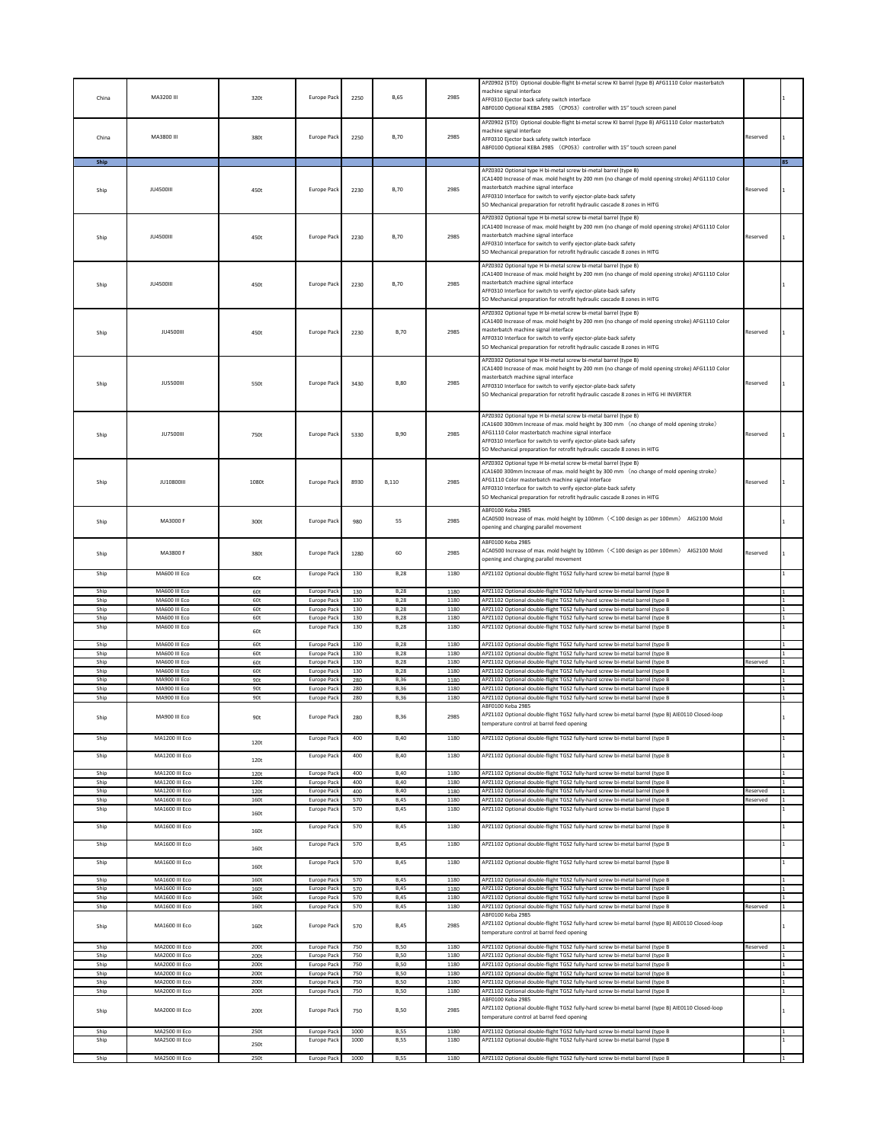| China        | MA3200 III                       | 320t         | Europe Pack                              | 2250         | <b>B</b> ,65               | 2985         | APZ0902 (STD) Optional double-flight bi-metal screw KI barrel (type B) AFG1110 Color masterbatch<br>machine signal interface<br>AFF0310 Ejector back safety switch interface<br>ABF0100 Optional KEBA 2985 (CP053) controller with 15" touch screen panel                                                                                                              |                      |    |
|--------------|----------------------------------|--------------|------------------------------------------|--------------|----------------------------|--------------|------------------------------------------------------------------------------------------------------------------------------------------------------------------------------------------------------------------------------------------------------------------------------------------------------------------------------------------------------------------------|----------------------|----|
| China        | MA3800 III                       | 380t         | Europe Pack                              | 2250         | <b>B,70</b>                | 2985         | APZ0902 (STD) Optional double-flight bi-metal screw KI barrel (type B) AFG1110 Color masterbatch<br>machine signal interface<br>AFF0310 Ejector back safety switch interface<br>ABF0100 Optional KEBA 2985 (CP053) controller with 15" touch screen panel                                                                                                              | Reserved             |    |
| Ship<br>Ship | <b>JU4500III</b>                 | 450t         | Europe Pack                              | 2230         | <b>B,70</b>                | 2985         | PZ0302 Optional type H bi-metal screw bi-metal barrel (type B)<br>JCA1400 Increase of max. mold height by 200 mm (no change of mold opening stroke) AFG1110 Color<br>masterbatch machine signal interface                                                                                                                                                              | Reserved             | 85 |
|              |                                  |              |                                          |              |                            |              | AFF0310 Interface for switch to verify ejector-plate-back safety<br>SO Mechanical preparation for retrofit hydraulic cascade 8 zones in HITG<br>APZ0302 Optional type H bi-metal screw bi-metal barrel (type B)                                                                                                                                                        |                      |    |
| Ship         | <b>JU4500III</b>                 | 450t         | Europe Pack                              | 2230         | <b>B,70</b>                | 2985         | JCA1400 Increase of max. mold height by 200 mm (no change of mold opening stroke) AFG1110 Color<br>masterbatch machine signal interface<br>AFF0310 Interface for switch to verify ejector-plate-back safety<br>SO Mechanical preparation for retrofit hydraulic cascade 8 zones in HITG                                                                                | Reserved             |    |
| Ship         | <b>JU4500III</b>                 | 450t         | Europe Pack                              | 2230         | <b>B,70</b>                | 2985         | APZ0302 Optional type H bi-metal screw bi-metal barrel (type B)<br>JCA1400 Increase of max. mold height by 200 mm (no change of mold opening stroke) AFG1110 Color<br>masterbatch machine signal interface<br>AFF0310 Interface for switch to verify ejector-plate-back safety<br>SO Mechanical preparation for retrofit hydraulic cascade 8 zones in HITG             |                      |    |
| Ship         | <b>JU4500III</b>                 | 450t         | Europe Pack                              | 2230         | <b>B,70</b>                | 2985         | APZ0302 Optional type H bi-metal screw bi-metal barrel (type B)<br>JCA1400 Increase of max. mold height by 200 mm (no change of mold opening stroke) AFG1110 Color<br>masterbatch machine signal interface<br>AFF0310 Interface for switch to verify ejector-plate-back safety<br>SO Mechanical preparation for retrofit hydraulic cascade 8 zones in HITG             | Reserved             |    |
| Ship         | <b>JU5500III</b>                 | 550t         | <b>Europe Pack</b>                       | 3430         | <b>B,80</b>                | 2985         | APZ0302 Optional type H bi-metal screw bi-metal barrel (type B)<br>JCA1400 Increase of max. mold height by 200 mm (no change of mold opening stroke) AFG1110 Color<br>masterbatch machine signal interface<br>AFF0310 Interface for switch to verify ejector-plate-back safety<br>SO Mechanical preparation for retrofit hydraulic cascade 8 zones in HITG HI INVERTER | Reserved             |    |
| Ship         | <b>JU7500III</b>                 | 750t         | <b>Europe Pack</b>                       | 5330         | <b>B,90</b>                | 2985         | APZ0302 Optional type H bi-metal screw bi-metal barrel (type B)<br>JCA1600 300mm Increase of max. mold height by 300 mm (no change of mold opening stroke)<br>AFG1110 Color masterbatch machine signal interface<br>AFF0310 Interface for switch to verify ejector-plate-back safety<br>SO Mechanical preparation for retrofit hydraulic cascade 8 zones in HITG       | Reserved             |    |
| Ship         | <b>JU10800III</b>                | 1080t        | <b>Europe Pack</b>                       | 8930         | B,110                      | 2985         | APZ0302 Optional type H bi-metal screw bi-metal barrel (type B)<br>JCA1600 300mm Increase of max. mold height by 300 mm (no change of mold opening stroke)<br>AFG1110 Color masterbatch machine signal interface<br>AFF0310 Interface for switch to verify ejector-plate-back safety<br>SO Mechanical preparation for retrofit hydraulic cascade 8 zones in HITG       | Reserved             |    |
| Ship         | MA3000 F                         | 300t         | Europe Pack                              | 980          | 55                         | 2985         | ABF0100 Keba 2985<br>ACA0500 Increase of max. mold height by 100mm(<100 design as per 100mm) AIG2100 Mold<br>opening and charging parallel movement                                                                                                                                                                                                                    |                      |    |
| Ship         | MA3800 F                         | 380t         | Europe Pack                              | 1280         | 60                         | 2985         | ABF0100 Keba 2985<br>ACA0500 Increase of max. mold height by 100mm (<100 design as per 100mm) AIG2100 Mold<br>opening and charging parallel movement                                                                                                                                                                                                                   | Reserved             |    |
| Ship         | MA600 III Eco                    | 60t          | Europe Pack                              | 130          | <b>B,28</b>                | 1180         | APZ1102 Optional double-flight TGS2 fully-hard screw bi-metal barrel (type B                                                                                                                                                                                                                                                                                           |                      |    |
| Ship<br>Ship | MA600 III Eco<br>MA600 III Eco   | 60t<br>60t   | Europe Pack<br><b>Europe Pack</b>        | 130<br>130   | <b>B,28</b><br><b>B,28</b> | 1180<br>1180 | APZ1102 Optional double-flight TGS2 fully-hard screw bi-metal barrel (type B<br>APZ1102 Optional double-flight TGS2 fully-hard screw bi-metal barrel (type B                                                                                                                                                                                                           |                      |    |
| Ship<br>Ship | MA600 III Eco<br>MA600 III Eco   | 60t<br>60t   | Europe Pack<br>Europe Pack               | 130<br>130   | <b>B,28</b><br><b>B.28</b> | 1180<br>1180 | APZ1102 Optional double-flight TGS2 fully-hard screw bi-metal barrel (type B<br>APZ1102 Optional double-flight TGS2 fully-hard screw bi-metal barrel (type B                                                                                                                                                                                                           |                      |    |
| Ship         | MA600 III Eco                    | 60t          | Europe Pack                              | 130          | <b>B,28</b>                | 1180         | APZ1102 Optional double-flight TGS2 fully-hard screw bi-metal barrel (type B                                                                                                                                                                                                                                                                                           |                      |    |
| Ship         | MA600 III Eco                    | 60t          | Europe Pack                              | 130          | <b>B.28</b>                | 1180         | APZ1102 Optional double-flight TGS2 fully-hard screw bi-metal barrel (type B                                                                                                                                                                                                                                                                                           |                      |    |
| Ship<br>Ship | MA600 III Eco<br>MA600 III Eco   | 60t<br>60t   | Europe Pack<br>Europe Pack               | 130<br>130   | <b>B,28</b><br><b>B,28</b> | 1180<br>1180 | APZ1102 Optional double-flight TGS2 fully-hard screw bi-metal barrel (type B<br>APZ1102 Optional double-flight TGS2 fully-hard screw bi-metal barrel (type B                                                                                                                                                                                                           | Reserved             |    |
| Ship         | MA600 III Eco                    | 60t          | Europe Pack                              | 130          | <b>B,28</b>                | 1180         | APZ1102 Optional double-flight TGS2 fully-hard screw bi-metal barrel (type B                                                                                                                                                                                                                                                                                           |                      |    |
| Ship<br>Ship | MA900 III Eco<br>MA900 III Eco   | 90t<br>90t   | Europe Pack<br>Europe Pack               | 280<br>280   | <b>B,36</b><br><b>B,36</b> | 1180<br>1180 | APZ1102 Optional double-flight TGS2 fully-hard screw bi-metal barrel (type B<br>APZ1102 Optional double-flight TGS2 fully-hard screw bi-metal barrel (type B                                                                                                                                                                                                           |                      |    |
| Ship         | MA900 III Eco                    | 90t          | Europe Pack                              | 280          | <b>B.36</b>                | 1180         | APZ1102 Optional double-flight TGS2 fully-hard screw bi-metal barrel (type B                                                                                                                                                                                                                                                                                           |                      |    |
| Ship         | MA900 III Eco                    | 90t          | Europe Pack                              | 280          | <b>B,36</b>                | 2985         | ABF0100 Keba 2985<br>APZ1102 Optional double-flight TGS2 fully-hard screw bi-metal barrel (type B) AIE0110 Closed-loop<br>temperature control at barrel feed opening                                                                                                                                                                                                   |                      |    |
| Ship<br>Ship | MA1200 III Eco<br>MA1200 III Eco | 120t         | Europe Pack<br><b>Europe Pack</b>        | 400<br>400   | <b>B,40</b><br><b>B,40</b> | 1180<br>1180 | APZ1102 Optional double-flight TGS2 fully-hard screw bi-metal barrel (type B<br>APZ1102 Optional double-flight TGS2 fully-hard screw bi-metal barrel (type B                                                                                                                                                                                                           |                      |    |
| Ship         | MA1200 III Eco                   | 120t<br>120t | <b>Europe Pack</b>                       | 400          | <b>B,40</b>                | 1180         | APZ1102 Optional double-flight TGS2 fully-hard screw bi-metal barrel (type B                                                                                                                                                                                                                                                                                           |                      |    |
| Ship         | <b>MA1200 III Fco</b>            | 120t         | <b>Europe Pack</b>                       | 400          | <b>B,40</b>                | 1180         | APZ1102 Optional double-flight TGS2 fully-hard screw bi-metal barrel (type B                                                                                                                                                                                                                                                                                           |                      |    |
| Ship<br>Ship | MA1200 III Eco<br>MA1600 III Eco | 120t<br>160t | <b>Europe Pack</b><br><b>Europe Pack</b> | 400<br>570   | <b>B.40</b><br><b>B.45</b> | 1180<br>1180 | APZ1102 Optional double-flight TGS2 fully-hard screw bi-metal barrel (type B<br>APZ1102 Optional double-flight TGS2 fully-hard screw bi-metal barrel (type B                                                                                                                                                                                                           | Reserved<br>Reserved |    |
| Ship         | MA1600 III Eco                   | 160t         | <b>Europe Pack</b>                       | 570          | <b>B.45</b>                | 1180         | APZ1102 Optional double-flight TGS2 fully-hard screw bi-metal barrel (type B                                                                                                                                                                                                                                                                                           |                      |    |
| Ship         | MA1600 III Eco                   | 160t         | Europe Pack                              | 570          | <b>B,45</b>                | 1180         | APZ1102 Optional double-flight TGS2 fully-hard screw bi-metal barrel (type B                                                                                                                                                                                                                                                                                           |                      |    |
| Ship         | MA1600 III Eco                   | 160t         | Europe Pack                              | 570          | <b>B,45</b>                | 1180         | APZ1102 Optional double-flight TGS2 fully-hard screw bi-metal barrel (type B                                                                                                                                                                                                                                                                                           |                      |    |
| Ship         | MA1600 III Eco                   | 160t         | Europe Pack                              | 570          | <b>B,45</b>                | 1180         | APZ1102 Optional double-flight TGS2 fully-hard screw bi-metal barrel (type B                                                                                                                                                                                                                                                                                           |                      |    |
| Ship<br>Ship | MA1600 III Eco<br>MA1600 III Eco | 160t<br>160t | Europe Pack<br>Europe Pack               | 570<br>570   | <b>B.45</b><br><b>B,45</b> | 1180<br>1180 | APZ1102 Optional double-flight TGS2 fully-hard screw bi-metal barrel (type B<br>APZ1102 Optional double-flight TGS2 fully-hard screw bi-metal barrel (type B                                                                                                                                                                                                           |                      |    |
| Ship         | MA1600 III Eco                   | 160t         | Europe Pack                              | 570          | <b>B,45</b>                | 1180         | APZ1102 Optional double-flight TGS2 fully-hard screw bi-metal barrel (type B                                                                                                                                                                                                                                                                                           |                      |    |
| Ship         | MA1600 III Eco                   | 160t         | Europe Pack                              | 570          | <b>B,45</b>                | 1180         | APZ1102 Optional double-flight TGS2 fully-hard screw bi-metal barrel (type B<br>ABF0100 Keba 2985                                                                                                                                                                                                                                                                      | Reserved             |    |
| Ship         | MA1600 III Eco                   | 160t         | Europe Pack                              | 570          | B,45                       | 2985         | APZ1102 Optional double-flight TGS2 fully-hard screw bi-metal barrel (type B) AIE0110 Closed-loop<br>temperature control at barrel feed opening                                                                                                                                                                                                                        |                      |    |
| Ship<br>Ship | MA2000 III Eco<br>MA2000 III Eco | 200t<br>200t | Europe Pack<br>Europe Pack               | 750<br>750   | <b>B.50</b><br><b>B.50</b> | 1180<br>1180 | APZ1102 Optional double-flight TGS2 fully-hard screw bi-metal barrel (type B<br>APZ1102 Optional double-flight TGS2 fully-hard screw bi-metal barrel (type B                                                                                                                                                                                                           | Reserved             |    |
| Ship         | MA2000 III Eco                   | 200t         | Europe Pack                              | 750          | <b>B,50</b>                | 1180         | APZ1102 Optional double-flight TGS2 fully-hard screw bi-metal barrel (type B                                                                                                                                                                                                                                                                                           |                      |    |
| Ship<br>Ship | MA2000 III Eco<br>MA2000 III Eco | 200t<br>200t | Europe Pack<br>Europe Pack               | 750<br>750   | <b>B.50</b><br><b>B,50</b> | 1180<br>1180 | APZ1102 Optional double-flight TGS2 fully-hard screw bi-metal barrel (type B<br>APZ1102 Optional double-flight TGS2 fully-hard screw bi-metal barrel (type B                                                                                                                                                                                                           |                      |    |
| Ship         | MA2000 III Eco                   | 200t         | Europe Pack                              | 750          | <b>B,50</b>                | 1180         | APZ1102 Optional double-flight TGS2 fully-hard screw bi-metal barrel (type B                                                                                                                                                                                                                                                                                           |                      |    |
| Ship         | MA2000 III Eco                   | 200t         | Europe Pack                              | 750          | <b>B,50</b>                | 2985         | ABF0100 Keba 2985<br>APZ1102 Optional double-flight TGS2 fully-hard screw bi-metal barrel (type B) AIE0110 Closed-loop<br>temperature control at barrel feed opening                                                                                                                                                                                                   |                      |    |
| Ship<br>Ship | MA2500 III Eco<br>MA2500 III Eco | 250t<br>250t | Europe Pac<br>Europe Pack                | 1000<br>1000 | <b>B,55</b><br><b>B,55</b> | 1180<br>1180 | APZ1102 Optional double-flight TGS2 fully-hard screw bi-metal barrel (type B<br>APZ1102 Optional double-flight TGS2 fully-hard screw bi-metal barrel (type B                                                                                                                                                                                                           |                      |    |
| Ship         | MA2500 III Eco                   | 250t         | <b>Europe Pack</b>                       | 1000         | <b>B.55</b>                | 1180         | APZ1102 Optional double-flight TGS2 fully-hard screw bi-metal barrel (type B                                                                                                                                                                                                                                                                                           |                      |    |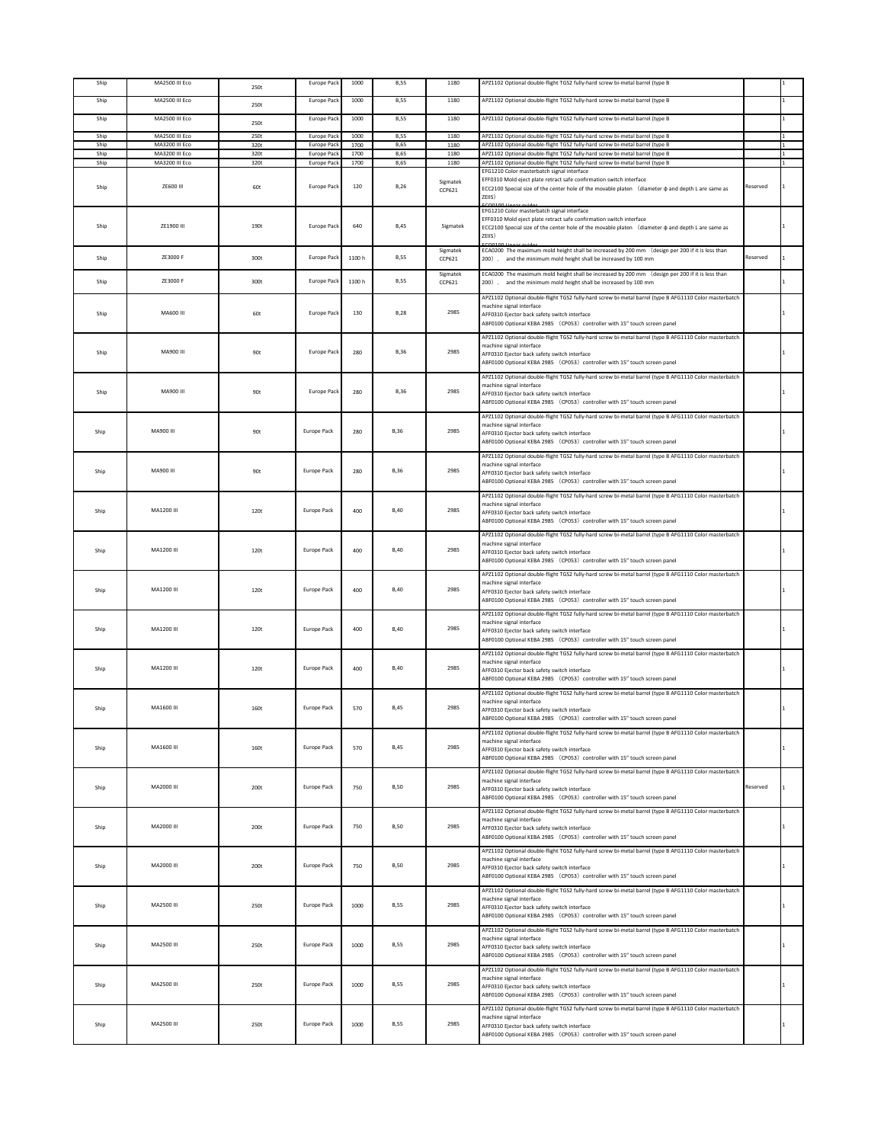| Ship         | MA2500 III Eco                   | 250t         | Europe Pack                | 1000         | <b>B,55</b>                | 1180               | APZ1102 Optional double-flight TGS2 fully-hard screw bi-metal barrel (type B                                                                                                                                                                                    |          |  |
|--------------|----------------------------------|--------------|----------------------------|--------------|----------------------------|--------------------|-----------------------------------------------------------------------------------------------------------------------------------------------------------------------------------------------------------------------------------------------------------------|----------|--|
| Ship         | MA2500 III Eco                   | 250t         | Europe Pack                | 1000         | <b>B,55</b>                | 1180               | APZ1102 Optional double-flight TGS2 fully-hard screw bi-metal barrel (type B                                                                                                                                                                                    |          |  |
| Ship         | MA2500 III Eco                   |              | Europe Pack                | 1000         | <b>B,55</b>                | 1180               | APZ1102 Optional double-flight TGS2 fully-hard screw bi-metal barrel (type B                                                                                                                                                                                    |          |  |
|              |                                  | 250t         |                            |              |                            |                    |                                                                                                                                                                                                                                                                 |          |  |
| Ship<br>Ship | MA2500 III Eco<br>MA3200 III Eco | 250t<br>320t | Europe Pack<br>Europe Pack | 1000<br>1700 | <b>B,55</b><br><b>B,65</b> | 1180<br>1180       | APZ1102 Optional double-flight TGS2 fully-hard screw bi-metal barrel (type B<br>APZ1102 Optional double-flight TGS2 fully-hard screw bi-metal barrel (type B                                                                                                    |          |  |
| Ship         | MA3200 III Eco                   | 320t         | <b>Europe Pack</b>         | 1700         | <b>B,65</b>                | 1180               | APZ1102 Optional double-flight TGS2 fully-hard screw bi-metal barrel (type B                                                                                                                                                                                    |          |  |
| Ship         | MA3200 III Eco                   | 320t         | Europe Pac                 | 1700         | <b>B,65</b>                | 1180               | APZ1102 Optional double-flight TGS2 fully-hard screw bi-metal barrel (type B                                                                                                                                                                                    |          |  |
| Ship         | ZE600 III                        | 60t          | <b>Europe Pack</b>         | 120          | <b>B,26</b>                | Sigmatek<br>CCP621 | EFG1210 Color masterbatch signal interface<br>EFF0310 Mold eject plate retract safe confirmation switch interface<br>ECC2100 Special size of the center hole of the movable platen (diameter $\phi$ and depth L are same as<br>ZEIIS)                           | Reserved |  |
| Ship         | ZE1900 III                       | 190t         | Europe Pack                | 640          | <b>B,45</b>                | Sigmatek           | EFG1210 Color masterbatch signal interface<br>EFF0310 Mold eject plate retract safe confirmation switch interface<br>ECC2100 Special size of the center hole of the movable platen (diameter $\phi$ and depth L are same as<br>ZEIIS)                           |          |  |
| Ship         | ZE3000 F                         | 300t         | <b>Europe Pack</b>         | 1100h        | <b>B,55</b>                | Sigmatek<br>CCP621 | ECA0200 The maximum mold height shall be increased by 200 mm (design per 200 if it is less than<br>200). and the minimum mold height shall be increased by 100 mm                                                                                               | Reserved |  |
| Ship         | ZE3000 F                         | 300t         | Europe Pack                | 1100h        | <b>B,55</b>                | Sigmatek<br>CCP621 | ECA0200 The maximum mold height shall be increased by 200 mm (design per 200 if it is less than<br>200). and the minimum mold height shall be increased by 100 mm                                                                                               |          |  |
| Ship         | <b>MA600 III</b>                 | 60t          | <b>Europe Pack</b>         | 130          | <b>B,28</b>                | 2985               | APZ1102 Optional double-flight TGS2 fully-hard screw bi-metal barrel (type B AFG1110 Color masterbatch<br>machine signal interface<br>AFF0310 Ejector back safety switch interface<br>ABF0100 Optional KEBA 2985 (CP053) controller with 15" touch screen panel |          |  |
| Ship         | <b>MA900 III</b>                 | 90t          | Europe Pack                | 280          | <b>B,36</b>                | 2985               | APZ1102 Optional double-flight TGS2 fully-hard screw bi-metal barrel (type B AFG1110 Color masterbatch<br>machine signal interface<br>AFF0310 Ejector back safety switch interface<br>ABF0100 Optional KEBA 2985 (CP053) controller with 15" touch screen panel |          |  |
| Ship         | MA900 III                        | 90t          | <b>Europe Pack</b>         | 280          | <b>B.36</b>                | 2985               | APZ1102 Optional double-flight TGS2 fully-hard screw bi-metal barrel (type B AFG1110 Color masterbatch<br>machine signal interface<br>AFF0310 Ejector back safety switch interface<br>ABF0100 Optional KEBA 2985 (CP053) controller with 15" touch screen panel |          |  |
| Ship         | MA900 III                        | 90t          | Europe Pack                | 280          | <b>B,36</b>                | 2985               | APZ1102 Optional double-flight TGS2 fully-hard screw bi-metal barrel (type B AFG1110 Color masterbatch<br>machine signal interface<br>AFF0310 Ejector back safety switch interface<br>ABF0100 Optional KEBA 2985 (CP053) controller with 15" touch screen panel |          |  |
| Ship         | <b>MA900 III</b>                 | 90t          | Europe Pack                | 280          | <b>B,36</b>                | 2985               | APZ1102 Optional double-flight TGS2 fully-hard screw bi-metal barrel (type B AFG1110 Color masterbatch<br>machine signal interface<br>AFF0310 Ejector back safety switch interface<br>ABF0100 Optional KEBA 2985 (CP053) controller with 15" touch screen panel |          |  |
| Ship         | MA1200 III                       | 120t         | Europe Pack                | 400          | <b>B,40</b>                | 2985               | APZ1102 Optional double-flight TGS2 fully-hard screw bi-metal barrel (type B AFG1110 Color masterbatch<br>machine signal interface<br>AFF0310 Ejector back safety switch interface<br>ABF0100 Optional KEBA 2985 (CP053) controller with 15" touch screen panel |          |  |
| Ship         | MA1200 III                       | 120t         | Europe Pack                | 400          | <b>B.40</b>                | 2985               | APZ1102 Optional double-flight TGS2 fully-hard screw bi-metal barrel (type B AFG1110 Color masterbatch<br>machine signal interface<br>AFF0310 Ejector back safety switch interface<br>ABF0100 Optional KEBA 2985 (CP053) controller with 15" touch screen panel |          |  |
| Ship         | MA1200 III                       | 120t         | Europe Pack                | 400          | <b>B,40</b>                | 2985               | APZ1102 Optional double-flight TGS2 fully-hard screw bi-metal barrel (type B AFG1110 Color masterbatch<br>machine signal interface<br>AFF0310 Ejector back safety switch interface<br>ABF0100 Optional KEBA 2985 (CP053) controller with 15" touch screen panel |          |  |
| Ship         | MA1200 III                       | 120t         | Europe Pack                | 400          | <b>B,40</b>                | 2985               | APZ1102 Optional double-flight TGS2 fully-hard screw bi-metal barrel (type B AFG1110 Color masterbatch<br>machine signal interface<br>AFF0310 Ejector back safety switch interface<br>ABF0100 Optional KEBA 2985 (CP053) controller with 15" touch screen panel |          |  |
| Ship         | MA1200 III                       | 120t         | Europe Pack                | 400          | <b>B,40</b>                | 2985               | APZ1102 Optional double-flight TGS2 fully-hard screw bi-metal barrel (type B AFG1110 Color masterbatch<br>machine signal interface<br>AFF0310 Ejector back safety switch interface<br>ABF0100 Optional KEBA 2985 (CP053) controller with 15" touch screen panel |          |  |
| Ship         | MA1600 III                       | 160t         | <b>Europe Pack</b>         | 570          | <b>B.45</b>                | 2985               | APZ1102 Optional double-flight TGS2 fully-hard screw bi-metal barrel (type B AFG1110 Color masterbatch<br>machine signal interface<br>AFF0310 Ejector back safety switch interface<br>ABF0100 Optional KEBA 2985 (CP053) controller with 15" touch screen panel |          |  |
| Ship         | MA1600 III                       | 160t         | Europe Pack                | 570          | <b>B,45</b>                | 2985               | APZ1102 Optional double-flight TGS2 fully-hard screw bi-metal barrel (type B AFG1110 Color masterbatch<br>machine signal interface<br>AFF0310 Ejector back safety switch interface<br>ABF0100 Optional KEBA 2985 (CP053) controller with 15" touch screen panel |          |  |
| Ship         | MA2000 III                       | 200t         | Europe Pack                | 750          | <b>B,50</b>                | 2985               | APZ1102 Optional double-flight TGS2 fully-hard screw bi-metal barrel (type B AFG1110 Color masterbatch<br>machine signal interface<br>AFF0310 Ejector back safety switch interface<br>ABF0100 Optional KEBA 2985 (CP053) controller with 15" touch screen panel | teserved |  |
| Ship         | MA2000 III                       | 200t         | Europe Pack                | 750          | <b>B,50</b>                | 2985               | APZ1102 Optional double-flight TGS2 fully-hard screw bi-metal barrel (type B AFG1110 Color masterbatch<br>machine signal interface<br>AFF0310 Ejector back safety switch interface<br>ABF0100 Optional KEBA 2985 (CP053) controller with 15" touch screen panel |          |  |
| Ship         | MA2000 III                       | 200t         | <b>Europe Pack</b>         | 750          | <b>B.50</b>                | 2985               | APZ1102 Optional double-flight TGS2 fully-hard screw bi-metal barrel (type B AFG1110 Color masterbatch<br>machine signal interface<br>AFF0310 Ejector back safety switch interface<br>ABF0100 Optional KEBA 2985 (CP053) controller with 15" touch screen panel |          |  |
| Ship         | MA2500 III                       | 250t         | Europe Pack                | 1000         | <b>B,55</b>                | 2985               | APZ1102 Optional double-flight TGS2 fully-hard screw bi-metal barrel (type B AFG1110 Color masterbatch<br>machine signal interface<br>AFF0310 Ejector back safety switch interface<br>ABF0100 Optional KEBA 2985 (CP053) controller with 15" touch screen panel |          |  |
| Ship         | MA2500 III                       | 250t         | Europe Pack                | 1000         | <b>B,55</b>                | 2985               | APZ1102 Optional double-flight TGS2 fully-hard screw bi-metal barrel (type B AFG1110 Color masterbatch<br>machine signal interface<br>AFF0310 Ejector back safety switch interface<br>ABF0100 Optional KEBA 2985 (CP053) controller with 15" touch screen panel |          |  |
| Ship         | MA2500 III                       | 250t         | Europe Pack                | 1000         | <b>B,55</b>                | 2985               | APZ1102 Optional double-flight TGS2 fully-hard screw bi-metal barrel (type B AFG1110 Color masterbatch<br>machine signal interface<br>AFF0310 Ejector back safety switch interface<br>ABF0100 Optional KEBA 2985 (CP053) controller with 15" touch screen panel |          |  |
| Ship         | MA2500 III                       | 250t         | <b>Europe Pack</b>         | 1000         | <b>B,55</b>                | 2985               | APZ1102 Optional double-flight TGS2 fully-hard screw bi-metal barrel (type B AFG1110 Color masterbatch<br>machine signal interface<br>AFF0310 Ejector back safety switch interface<br>ABF0100 Optional KEBA 2985 (CP053) controller with 15" touch screen panel |          |  |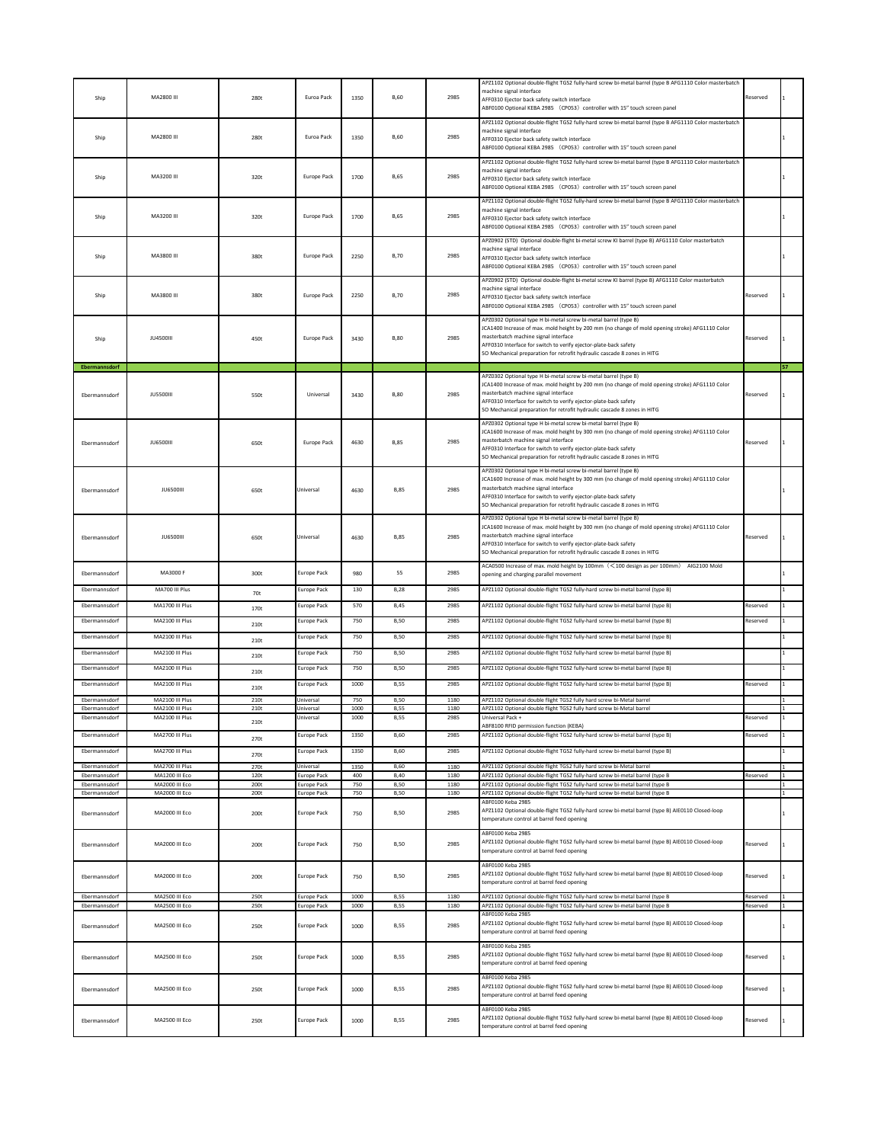| Ship                           | MA2800 III                         | 280t         | Euroa Pack                               | 1350         | <b>B,60</b>                | 2985         | APZ1102 Optional double-flight TGS2 fully-hard screw bi-metal barrel (type B AFG1110 Color masterbatch<br>machine signal interface<br>AFF0310 Ejector back safety switch interface<br>ABF0100 Optional KEBA 2985 (CP053) controller with 15" touch screen panel                                                                                            | Reserved             |  |
|--------------------------------|------------------------------------|--------------|------------------------------------------|--------------|----------------------------|--------------|------------------------------------------------------------------------------------------------------------------------------------------------------------------------------------------------------------------------------------------------------------------------------------------------------------------------------------------------------------|----------------------|--|
| Ship                           | MA2800 III                         | 280t         | Euroa Pack                               | 1350         | <b>B.60</b>                | 2985         | APZ1102 Optional double-flight TGS2 fully-hard screw bi-metal barrel (type B AFG1110 Color masterbatch<br>machine signal interface<br>AFF0310 Ejector back safety switch interface<br>ABF0100 Optional KEBA 2985 (CP053) controller with 15" touch screen panel                                                                                            |                      |  |
| Ship                           | MA3200 III                         | 320t         | Europe Pack                              | 1700         | <b>B,65</b>                | 2985         | APZ1102 Optional double-flight TGS2 fully-hard screw bi-metal barrel (type B AFG1110 Color masterbatch<br>machine signal interface<br>AFF0310 Ejector back safety switch interface<br>ABF0100 Optional KEBA 2985 (CP053) controller with 15" touch screen panel                                                                                            |                      |  |
| Ship                           | MA3200 III                         | 320t         | <b>Europe Pack</b>                       | 1700         | <b>B,65</b>                | 2985         | APZ1102 Optional double-flight TGS2 fully-hard screw bi-metal barrel (type B AFG1110 Color masterbatch<br>machine signal interface<br>AFF0310 Ejector back safety switch interface<br>ABF0100 Optional KEBA 2985 (CP053) controller with 15" touch screen panel                                                                                            |                      |  |
| Ship                           | MA3800 III                         | 380t         | <b>Europe Pack</b>                       | 2250         | <b>B,70</b>                | 2985         | APZ0902 (STD) Optional double-flight bi-metal screw KI barrel (type B) AFG1110 Color masterbatch<br>machine signal interface<br>AFF0310 Ejector back safety switch interface<br>ABF0100 Optional KEBA 2985 (CP053) controller with 15" touch screen panel                                                                                                  |                      |  |
| Ship                           | MA3800 III                         | 380t         | <b>Europe Pack</b>                       | 2250         | <b>B.70</b>                | 2985         | APZ0902 (STD) Optional double-flight bi-metal screw KI barrel (type B) AFG1110 Color masterbatch<br>machine signal interface<br>AFF0310 Ejector back safety switch interface<br>ABF0100 Optional KEBA 2985 (CP053) controller with 15" touch screen panel                                                                                                  | Reserved             |  |
| Ship                           | <b>JU4500III</b>                   | 450t         | Europe Pack                              | 3430         | <b>B.80</b>                | 2985         | APZ0302 Optional type H bi-metal screw bi-metal barrel (type B)<br>JCA1400 Increase of max. mold height by 200 mm (no change of mold opening stroke) AFG1110 Color<br>masterbatch machine signal interface<br>AFF0310 Interface for switch to verify ejector-plate-back safety<br>SO Mechanical preparation for retrofit hydraulic cascade 8 zones in HITG | Reserved             |  |
| Ebermannsdorf                  |                                    |              |                                          |              |                            |              | APZ0302 Optional type H bi-metal screw bi-metal barrel (type B)                                                                                                                                                                                                                                                                                            |                      |  |
| Ebermannsdorf                  | <b>JU5500III</b>                   | 550t         | Universal                                | 3430         | <b>B.80</b>                | 2985         | JCA1400 Increase of max. mold height by 200 mm (no change of mold opening stroke) AFG1110 Color<br>masterbatch machine signal interface<br>AFF0310 Interface for switch to verify ejector-plate-back safety<br>SO Mechanical preparation for retrofit hydraulic cascade 8 zones in HITG                                                                    | Reserved             |  |
| Ebermannsdorf                  | <b>JU6500III</b>                   | 650t         | Europe Pack                              | 4630         | <b>B.85</b>                | 2985         | APZ0302 Optional type H bi-metal screw bi-metal barrel (type B)<br>JCA1600 Increase of max. mold height by 300 mm (no change of mold opening stroke) AFG1110 Color<br>masterbatch machine signal interface<br>AFF0310 Interface for switch to verify ejector-plate-back safety<br>SO Mechanical preparation for retrofit hydraulic cascade 8 zones in HITG | Reserved             |  |
| Ebermannsdorf                  | <b>JU6500III</b>                   | 650t         | Universal                                | 4630         | <b>B.85</b>                | 2985         | APZ0302 Optional type H bi-metal screw bi-metal barrel (type B)<br>JCA1600 Increase of max. mold height by 300 mm (no change of mold opening stroke) AFG1110 Color<br>masterbatch machine signal interface<br>AFF0310 Interface for switch to verify ejector-plate-back safety<br>SO Mechanical preparation for retrofit hydraulic cascade 8 zones in HITG |                      |  |
| Ebermannsdorf                  | <b>JU6500III</b>                   | 650t         | Universal                                | 4630         | <b>B,85</b>                | 2985         | APZ0302 Optional type H bi-metal screw bi-metal barrel (type B)<br>JCA1600 Increase of max. mold height by 300 mm (no change of mold opening stroke) AFG1110 Color<br>masterbatch machine signal interface<br>AFF0310 Interface for switch to verify ejector-plate-back safety<br>SO Mechanical preparation for retrofit hydraulic cascade 8 zones in HITG | Reserved             |  |
| Ebermannsdorf                  | MA3000 F                           | 300t         | Europe Pack                              | 980          | 55                         | 2985         | ACA0500 Increase of max. mold height by 100mm (<100 design as per 100mm) AIG2100 Mold<br>opening and charging parallel movement                                                                                                                                                                                                                            |                      |  |
| Ebermannsdorf                  | MA700 III Plus                     | 70t          | Europe Pack                              | 130          | <b>B,28</b>                | 2985         | APZ1102 Optional double-flight TGS2 fully-hard screw bi-metal barrel (type B)                                                                                                                                                                                                                                                                              |                      |  |
| Ebermannsdorf                  | MA1700 III Plus                    | 170t         | Europe Pack                              | 570          | <b>B,45</b>                | 2985         | APZ1102 Optional double-flight TGS2 fully-hard screw bi-metal barrel (type B)                                                                                                                                                                                                                                                                              | Reserved             |  |
| Ebermannsdorf                  | MA2100 III Plus                    | 210t         | Europe Pack                              | 750          | <b>B,50</b>                | 2985         | APZ1102 Optional double-flight TGS2 fully-hard screw bi-metal barrel (type B)                                                                                                                                                                                                                                                                              | eserved              |  |
| Ebermannsdorf                  | MA2100 III Plus                    | 210t         | Europe Pack                              | 750          | <b>B,50</b>                | 2985         | APZ1102 Optional double-flight TGS2 fully-hard screw bi-metal barrel (type B)                                                                                                                                                                                                                                                                              |                      |  |
| Ebermannsdorf                  | MA2100 III Plus                    | 210t         | Europe Pack                              | 750          | <b>B,50</b>                | 2985         | APZ1102 Optional double-flight TGS2 fully-hard screw bi-metal barrel (type B)                                                                                                                                                                                                                                                                              |                      |  |
| Ebermannsdorf                  | MA2100 III Plus                    | 210t         | Europe Pack                              | 750          | <b>B,50</b>                | 2985         | APZ1102 Optional double-flight TGS2 fully-hard screw bi-metal barrel (type B)                                                                                                                                                                                                                                                                              |                      |  |
| Ebermannsdorf                  | MA2100 III Plus                    | 210t         | Europe Pack                              | 1000         | <b>B,55</b>                | 2985         | APZ1102 Optional double-flight TGS2 fully-hard screw bi-metal barrel (type B)                                                                                                                                                                                                                                                                              | Reserved             |  |
| Ebermannsdorf                  | MA2100 III Plus                    | 210t         | Universal                                | 750          | <b>B,50</b>                | 1180         | APZ1102 Optional double flight TGS2 fully hard screw bi-Metal barrel                                                                                                                                                                                                                                                                                       |                      |  |
| Ebermannsdorf<br>Ebermannsdorf | MA2100 III Plus<br>MA2100 III Plus | 210t         | Universal<br>Universal                   | 1000<br>1000 | <b>B.55</b><br><b>B,55</b> | 1180<br>2985 | APZ1102 Optional double flight TGS2 fully hard screw bi-Metal barrel<br>Universal Pack +                                                                                                                                                                                                                                                                   | Reserved             |  |
|                                | MA2700 III Plus                    | 210t         | Europe Pack                              |              | <b>B,60</b>                |              | ABF8100 RFID permission function (KEBA)                                                                                                                                                                                                                                                                                                                    | Reserved             |  |
| Ebermannsdorf                  |                                    | 270t         |                                          | 1350         |                            | 2985         | APZ1102 Optional double-flight TGS2 fully-hard screw bi-metal barrel (type B)                                                                                                                                                                                                                                                                              |                      |  |
| Ebermannsdorf                  | MA2700 III Plus                    | 270t         | Europe Pack                              | 1350         | <b>B,60</b>                | 2985         | APZ1102 Optional double-flight TGS2 fully-hard screw bi-metal barrel (type B)                                                                                                                                                                                                                                                                              |                      |  |
| Ebermannsdorf<br>Ehermannsdorf | MA2700 III Plus<br>MA1200 III Eco  | 270t<br>120t | Universal<br><b>Europe Pack</b>          | 1350<br>400  | <b>B,60</b><br><b>B.40</b> | 1180<br>1180 | APZ1102 Optional double flight TGS2 fully hard screw bi-Metal barrel<br>APZ1102 Optional double-flight TGS2 fully-hard screw bi-metal barrel (type B                                                                                                                                                                                                       | Reserved             |  |
| Ebermannsdorf<br>Ehermannsdorf | MA2000 III Eco<br>MA2000 III Eco   | 200t<br>200t | <b>Europe Pack</b><br>Europe Pack        | 750<br>750   | <b>B.50</b><br><b>B,50</b> | 1180<br>1180 | APZ1102 Optional double-flight TGS2 fully-hard screw bi-metal barrel (type B<br>APZ1102 Optional double-flight TGS2 fully-hard screw bi-metal barrel (type B                                                                                                                                                                                               |                      |  |
| Ebermannsdorf                  | MA2000 III Eco                     | 200t         | Europe Pack                              | 750          | <b>B,50</b>                | 2985         | ABF0100 Keba 2985<br>APZ1102 Optional double-flight TGS2 fully-hard screw bi-metal barrel (type B) AIE0110 Closed-loop<br>temperature control at barrel feed opening                                                                                                                                                                                       |                      |  |
| Ebermannsdorf                  | MA2000 III Eco                     | 200t         | Europe Pack                              | 750          | <b>B,50</b>                | 2985         | ABF0100 Keba 2985<br>APZ1102 Optional double-flight TGS2 fully-hard screw bi-metal barrel (type B) AIE0110 Closed-loop<br>temperature control at barrel feed opening                                                                                                                                                                                       | Reserved             |  |
| Ebermannsdorf                  | MA2000 III Eco                     | 200t         | Europe Pack                              | 750          | <b>B,50</b>                | 2985         | ABF0100 Keba 2985<br>APZ1102 Optional double-flight TGS2 fully-hard screw bi-metal barrel (type B) AIE0110 Closed-loop<br>temperature control at barrel feed opening                                                                                                                                                                                       | Reserved             |  |
| Ehermannsdorf<br>Ehermannsdorf | MA2500 III Eco<br>MA2500 III Eco   | 250t<br>250t | <b>Europe Pack</b><br><b>Europe Pack</b> | 1000<br>1000 | <b>B,55</b><br><b>B.55</b> | 1180<br>1180 | APZ1102 Optional double-flight TGS2 fully-hard screw bi-metal barrel (type B<br>APZ1102 Optional double-flight TGS2 fully-hard screw bi-metal barrel (type B                                                                                                                                                                                               | Reserved<br>Reserved |  |
| Ebermannsdorf                  | MA2500 III Eco                     | 250t         | Europe Pack                              | 1000         | B,55                       | 2985         | ABF0100 Keba 2985<br>APZ1102 Optional double-flight TGS2 fully-hard screw bi-metal barrel (type B) AIE0110 Closed-loop<br>temperature control at barrel feed opening                                                                                                                                                                                       |                      |  |
| Ebermannsdorf                  | MA2500 III Eco                     | 250t         | Europe Pack                              | 1000         | <b>B,55</b>                | 2985         | ABF0100 Keba 2985<br>APZ1102 Optional double-flight TGS2 fully-hard screw bi-metal barrel (type B) AIE0110 Closed-loop<br>temperature control at barrel feed opening                                                                                                                                                                                       | Reserved             |  |
| Ebermannsdorf                  | MA2500 III Eco                     | 250t         | Europe Pack                              | 1000         | <b>B,55</b>                | 2985         | ABF0100 Keba 2985<br>APZ1102 Optional double-flight TGS2 fully-hard screw bi-metal barrel (type B) AIE0110 Closed-loop<br>temperature control at barrel feed opening                                                                                                                                                                                       | Reserved             |  |
| Ebermannsdorf                  | MA2500 III Eco                     | 250t         | Europe Pack                              | 1000         | <b>B,55</b>                | 2985         | ABF0100 Keba 2985<br>APZ1102 Optional double-flight TGS2 fully-hard screw bi-metal barrel (type B) AIE0110 Closed-loop<br>temperature control at barrel feed opening                                                                                                                                                                                       | Reserved             |  |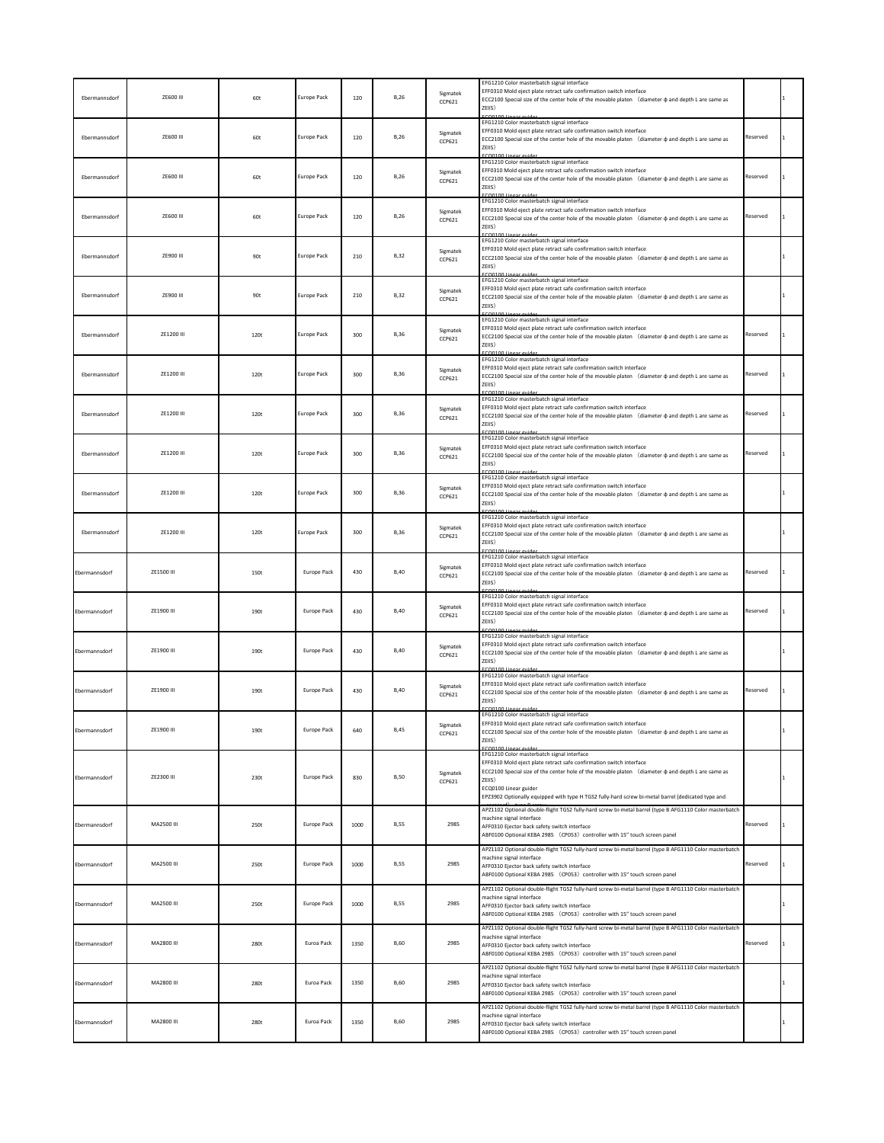| Ebermannsdorf | ZE600 III  | 60t  | Europe Pack        | 120  | <b>B.26</b> | Sigmatek<br>CCP621        | EFG1210 Color masterbatch signal interface<br>EFF0310 Mold eject plate retract safe confirmation switch interface<br>ECC2100 Special size of the center hole of the movable platen (diameter $\phi$ and depth L are same as<br>ZEIIS)                                                                                                                               |          |  |
|---------------|------------|------|--------------------|------|-------------|---------------------------|---------------------------------------------------------------------------------------------------------------------------------------------------------------------------------------------------------------------------------------------------------------------------------------------------------------------------------------------------------------------|----------|--|
| Ebermannsdorf | ZE600 III  | 60t  | Europe Pack        | 120  | <b>B,26</b> | Sigmatek<br>CCP621        | EFG1210 Color masterbatch signal interface<br>EFF0310 Mold eject plate retract safe confirmation switch interface<br>ECC2100 Special size of the center hole of the movable platen (diameter $\phi$ and depth L are same as<br>ZEIIS)                                                                                                                               | Reserved |  |
| Ebermannsdorf | ZE600 III  | 60t  | Europe Pack        | 120  | <b>B,26</b> | Sigmatek<br>CCP621        | EFG1210 Color masterbatch signal interface<br>EFF0310 Mold eject plate retract safe confirmation switch interface<br>ECC2100 Special size of the center hole of the movable platen (diameter $\phi$ and depth L are same as<br>ZEIIS)                                                                                                                               | Reserved |  |
| Ebermannsdorf | ZE600 III  | 60t  | Europe Pack        | 120  | <b>B,26</b> | Sigmatek<br>CCP621        | EFG1210 Color masterbatch signal interface<br>EFF0310 Mold eject plate retract safe confirmation switch interface<br>ECC2100 Special size of the center hole of the movable platen (diameter $\phi$ and depth L are same as<br>ZEIIS)                                                                                                                               | Reserved |  |
| Ebermannsdorf | ZE900 III  | 90t  | <b>Europe Pack</b> | 210  | <b>B,32</b> | Sigmatek<br>CCP621        | EFG1210 Color masterbatch signal interface<br>EFF0310 Mold eject plate retract safe confirmation switch interface<br>ECC2100 Special size of the center hole of the movable platen (diameter $\phi$ and depth L are same as<br>ZEIIS)                                                                                                                               |          |  |
| Ebermannsdorf | ZE900 III  | 90t  | Europe Pack        | 210  | <b>B,32</b> | Sigmatek<br><b>CCP621</b> | EFG1210 Color masterbatch signal interface<br>EFF0310 Mold eject plate retract safe confirmation switch interface<br>ECC2100 Special size of the center hole of the movable platen (diameter $\phi$ and depth L are same as<br>ZEIIS)                                                                                                                               |          |  |
| Ebermannsdorf | ZE1200 III | 120t | Europe Pack        | 300  | <b>B,36</b> | Sigmatek<br>CCP621        | EFG1210 Color masterbatch signal interface<br>EFF0310 Mold eject plate retract safe confirmation switch interface<br>ECC2100 Special size of the center hole of the movable platen (diameter $\phi$ and depth L are same as<br>ZEIIS)<br>FCO0100 Linear quide                                                                                                       | Reserved |  |
| Ebermannsdorf | ZE1200 III | 120t | Europe Pack        | 300  | <b>B,36</b> | Sigmatek<br>CCP621        | EFG1210 Color masterbatch signal interface<br>EFF0310 Mold eject plate retract safe confirmation switch interface<br>ECC2100 Special size of the center hole of the movable platen (diameter $\phi$ and depth L are same as<br>ZEIIS)<br>CO0100                                                                                                                     | Reserved |  |
| Ebermannsdorf | ZE1200 III | 120t | Europe Pack        | 300  | <b>B.36</b> | Sigmatek<br>CCP621        | EFG1210 Color masterbatch signal interface<br>EFF0310 Mold eject plate retract safe confirmation switch interface<br>ECC2100 Special size of the center hole of the movable platen (diameter $\phi$ and depth L are same as<br>ZEIIS)                                                                                                                               | Reserved |  |
| Ebermannsdorf | ZE1200 III | 120t | Europe Pack        | 300  | <b>B,36</b> | Sigmatek<br>CCP621        | EFG1210 Color masterbatch signal interface<br>EFF0310 Mold eject plate retract safe confirmation switch interface<br>ECC2100 Special size of the center hole of the movable platen (diameter $\phi$ and depth L are same as<br>ZEIIS)                                                                                                                               | Reserved |  |
| Ebermannsdorf | ZE1200 III | 120t | <b>Europe Pack</b> | 300  | <b>B,36</b> | Sigmatek<br>CCP621        | EFG1210 Color masterbatch signal interface<br>EFF0310 Mold eject plate retract safe confirmation switch interface<br>ECC2100 Special size of the center hole of the movable platen (diameter $\phi$ and depth L are same as<br>ZEIIS)                                                                                                                               |          |  |
| Ebermannsdorf | ZE1200 III | 120t | Europe Pack        | 300  | <b>B,36</b> | Sigmatek<br>CCP621        | EFG1210 Color masterbatch signal interface<br>EFF0310 Mold eject plate retract safe confirmation switch interface<br>ECC2100 Special size of the center hole of the movable platen (diameter $\phi$ and depth L are same as<br>ZEIIS)<br>FCO0100 Lines                                                                                                              |          |  |
| Ebermannsdorf | ZE1500 III | 150t | Europe Pack        | 430  | <b>B.40</b> | Sigmatek<br>CCP621        | EFG1210 Color masterbatch signal interface<br>EFF0310 Mold eject plate retract safe confirmation switch interface<br>ECC2100 Special size of the center hole of the movable platen (diameter $\phi$ and depth L are same as<br>ZEIIS)                                                                                                                               | Reserved |  |
| Ebermannsdorf | ZE1900 III | 190t | Europe Pack        | 430  | <b>B,40</b> | Sigmatek<br>CCP621        | EFG1210 Color masterbatch signal interface<br>EFF0310 Mold eject plate retract safe confirmation switch interface<br>ECC2100 Special size of the center hole of the movable platen (diameter $\phi$ and depth L are same as<br>ZEIIS)                                                                                                                               | Reserved |  |
| Ebermannsdorf | ZE1900 III | 190t | <b>Europe Pack</b> | 430  | <b>B,40</b> | Sigmatek<br>CCP621        | EFG1210 Color masterbatch signal interface<br>EFF0310 Mold eject plate retract safe confirmation switch interface<br>ECC2100 Special size of the center hole of the movable platen (diameter $\phi$ and depth L are same as<br>ZEIIS)                                                                                                                               |          |  |
| Ebermannsdorf | ZE1900 III | 190t | <b>Europe Pack</b> | 430  | <b>B,40</b> | Sigmatek<br>CCP621        | EFG1210 Color masterbatch signal interface<br>EFF0310 Mold eject plate retract safe confirmation switch interface<br>ECC2100 Special size of the center hole of the movable platen (diameter $\phi$ and depth L are same as<br>ZEIIS)                                                                                                                               | Reserved |  |
| Ebermannsdorf | ZE1900 III | 190t | Europe Pack        | 640  | <b>B,45</b> | Sigmatek<br>CCP621        | EFG1210 Color masterbatch signal interface<br>EFF0310 Mold eject plate retract safe confirmation switch interface<br>ECC2100 Special size of the center hole of the movable platen (diameter $\phi$ and depth L are same as<br>ZEIIS)                                                                                                                               |          |  |
| Ebermannsdorf | ZE2300 III | 230t | Europe Pack        | 830  | <b>B,50</b> | Sigmatek<br>CCP621        | EFG1210 Color masterbatch signal interface<br>EFF0310 Mold eject plate retract safe confirmation switch interface<br>ECC2100 Special size of the center hole of the movable platen (diameter $\phi$ and depth L are same as<br>ZEIIS)<br>ECQ0100 Linear guider<br>EPZ3902 Optionally equipped with type H TGS2 fully-hard screw bi-metal barrel (dedicated type and |          |  |
| Ebermannsdorf | MA2500 III | 250t | Europe Pack        | 1000 | <b>B,55</b> | 2985                      | APZ1102 Optional double-flight TGS2 fully-hard screw bi-metal barrel (type B AFG1110 Color masterbatch<br>machine signal interface<br>AFF0310 Ejector back safety switch interface<br>ABF0100 Optional KEBA 2985 (CP053) controller with 15" touch screen panel                                                                                                     | Reserved |  |
| Ebermannsdorf | MA2500 III | 250t | <b>Europe Pack</b> | 1000 | <b>B,55</b> | 2985                      | APZ1102 Optional double-flight TGS2 fully-hard screw bi-metal barrel (type B AFG1110 Color masterbatch<br>machine signal interface<br>AFF0310 Ejector back safety switch interface<br>ABF0100 Optional KEBA 2985 (CP053) controller with 15" touch screen panel                                                                                                     | Reserved |  |
| Ebermannsdorf | MA2500 III | 250t | <b>Europe Pack</b> | 1000 | <b>B,55</b> | 2985                      | APZ1102 Optional double-flight TGS2 fully-hard screw bi-metal barrel (type B AFG1110 Color masterbatch<br>machine signal interface<br>AFF0310 Ejector back safety switch interface<br>ABF0100 Optional KEBA 2985 (CP053) controller with 15" touch screen panel                                                                                                     |          |  |
| Ebermannsdorf | MA2800 III | 280t | Euroa Pack         | 1350 | <b>B,60</b> | 2985                      | APZ1102 Optional double-flight TGS2 fully-hard screw bi-metal barrel (type B AFG1110 Color masterbatch<br>machine signal interface<br>AFF0310 Ejector back safety switch interface<br>ABF0100 Optional KEBA 2985 (CP053) controller with 15" touch screen panel                                                                                                     | Reserved |  |
| Ebermannsdorf | MA2800 III | 280t | Euroa Pack         | 1350 | <b>B,60</b> | 2985                      | APZ1102 Optional double-flight TGS2 fully-hard screw bi-metal barrel (type B AFG1110 Color masterbatch<br>machine signal interface<br>AFF0310 Ejector back safety switch interface<br>ABF0100 Optional KEBA 2985 (CP053) controller with 15" touch screen panel                                                                                                     |          |  |
| Ebermannsdorf | MA2800 III | 280t | Euroa Pack         | 1350 | <b>B.60</b> | 2985                      | APZ1102 Optional double-flight TGS2 fully-hard screw bi-metal barrel (type B AFG1110 Color masterbatch<br>machine signal interface<br>AFF0310 Ejector back safety switch interface<br>ABF0100 Optional KEBA 2985 (CP053) controller with 15" touch screen panel                                                                                                     |          |  |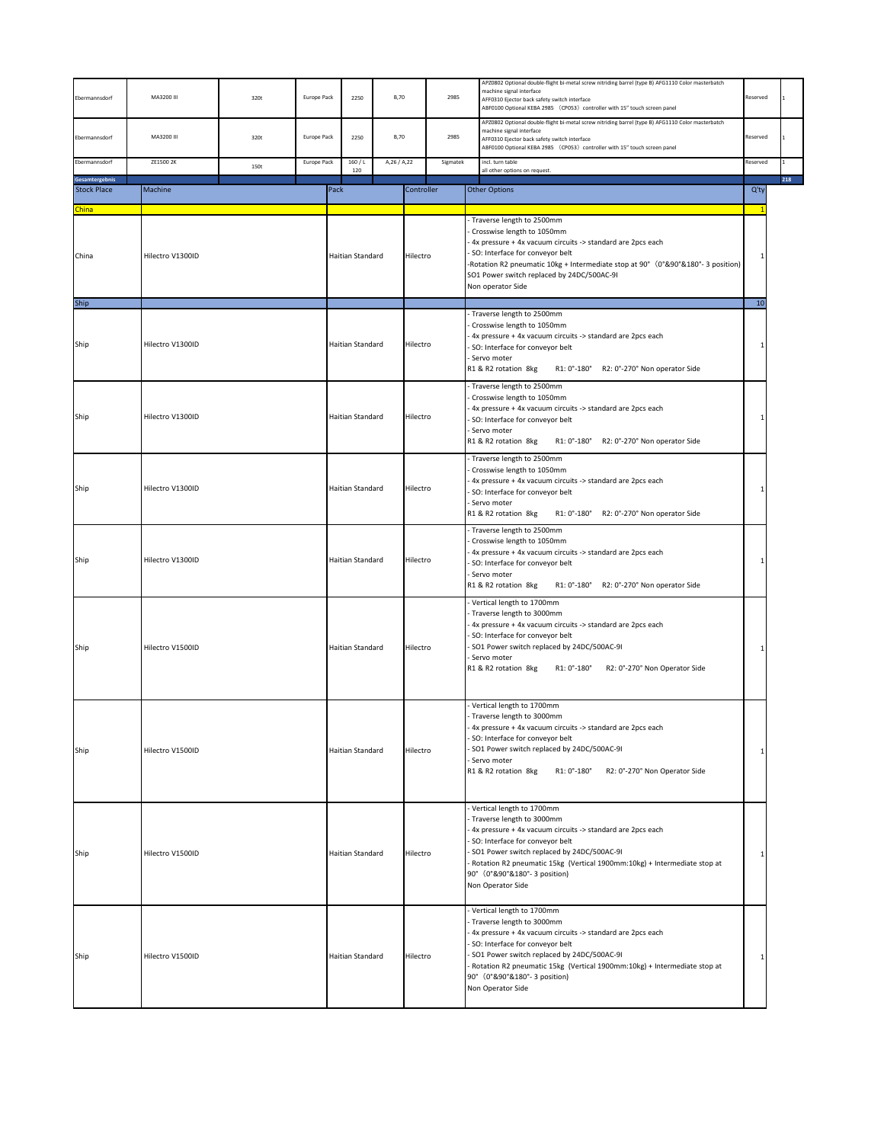| Ebermannsdorf                  | MA3200 III              | 320t | Europe Pack                       | 2250             | <b>B,70</b>                |            | 2985             | APZ0802 Optional double-flight bi-metal screw nitriding barrel (type B) AFG1110 Color masterbatch<br>machine signal interface<br>AFF0310 Ejector back safety switch interface<br>ABF0100 Optional KEBA 2985 (CP053) controller with 15" touch screen panel                                                                                      | Reserved             |     |
|--------------------------------|-------------------------|------|-----------------------------------|------------------|----------------------------|------------|------------------|-------------------------------------------------------------------------------------------------------------------------------------------------------------------------------------------------------------------------------------------------------------------------------------------------------------------------------------------------|----------------------|-----|
| Ebermannsdorf<br>Ebermannsdorf | MA3200 III<br>ZE1500 2K | 320t | <b>Europe Pack</b><br>Europe Pack | 2250<br>160/L    | <b>B,70</b><br>A,26 / A,22 |            | 2985<br>Sigmatek | APZ0802 Optional double-flight bi-metal screw nitriding barrel (type B) AFG1110 Color masterbatch<br>machine signal interface<br>AFF0310 Ejector back safety switch interface<br>ABF0100 Optional KEBA 2985 (CP053) controller with 15" touch screen panel<br>incl. turn table                                                                  | Reserved<br>Reserved |     |
| Gesamtergebnis                 |                         | 150t |                                   | 120              |                            |            |                  | all other options on request.                                                                                                                                                                                                                                                                                                                   |                      | 218 |
| <b>Stock Place</b>             | Machine                 |      |                                   | Pack             |                            | Controller |                  | <b>Other Options</b>                                                                                                                                                                                                                                                                                                                            | $Q'$ ty              |     |
| <b>China</b>                   |                         |      |                                   |                  |                            |            |                  |                                                                                                                                                                                                                                                                                                                                                 |                      |     |
| China                          | Hilectro V1300ID        |      |                                   | Haitian Standard |                            | Hilectro   |                  | - Traverse length to 2500mm<br>Crosswise length to 1050mm<br>4x pressure + 4x vacuum circuits -> standard are 2pcs each<br>SO: Interface for conveyor belt<br>-Rotation R2 pneumatic 10kg + Intermediate stop at 90° (0°&90°&180°-3 position)<br>SO1 Power switch replaced by 24DC/500AC-9I<br>Non operator Side                                |                      |     |
| Ship<br>Ship                   | Hilectro V1300ID        |      |                                   | Haitian Standard |                            | Hilectro   |                  | - Traverse length to 2500mm<br>Crosswise length to 1050mm<br>4x pressure + 4x vacuum circuits -> standard are 2pcs each<br>SO: Interface for conveyor belt<br>Servo moter<br>R1 & R2 rotation 8kg<br>R1: 0°-180° R2: 0°-270° Non operator Side                                                                                                  | 10                   |     |
| Ship                           | Hilectro V1300ID        |      |                                   | Haitian Standard |                            | Hilectro   |                  | Traverse length to 2500mm<br>Crosswise length to 1050mm<br>4x pressure + 4x vacuum circuits -> standard are 2pcs each<br>SO: Interface for conveyor belt<br>Servo moter<br>R1 & R2 rotation 8kg<br>R1: 0°-180° R2: 0°-270° Non operator Side                                                                                                    |                      |     |
| Ship                           | Hilectro V1300ID        |      |                                   | Haitian Standard |                            | Hilectro   |                  | - Traverse length to 2500mm<br>Crosswise length to 1050mm<br>4x pressure + 4x vacuum circuits -> standard are 2pcs each<br>SO: Interface for conveyor belt<br>- Servo moter<br>R1 & R2 rotation 8kg<br>R1: 0°-180° R2: 0°-270° Non operator Side                                                                                                |                      |     |
| Ship                           | Hilectro V1300ID        |      |                                   | Haitian Standard |                            | Hilectro   |                  | - Traverse length to 2500mm<br>Crosswise length to 1050mm<br>4x pressure + 4x vacuum circuits -> standard are 2pcs each<br>- SO: Interface for conveyor belt<br>Servo moter<br>R1 & R2 rotation 8kg<br>R1: 0°-180° R2: 0°-270° Non operator Side                                                                                                |                      |     |
| Ship                           | Hilectro V1500ID        |      |                                   | Haitian Standard |                            | Hilectro   |                  | Vertical length to 1700mm<br>Traverse length to 3000mm<br>4x pressure + 4x vacuum circuits -> standard are 2pcs each<br>SO: Interface for conveyor belt<br>SO1 Power switch replaced by 24DC/500AC-9I<br>Servo moter<br>R2: 0°-270° Non Operator Side<br>R1 & R2 rotation 8kg<br>R1: 0°-180°                                                    |                      |     |
| Ship                           | Hilectro V1500ID        |      |                                   | Haitian Standard |                            | Hilectro   |                  | Vertical length to 1700mm<br>- Traverse length to 3000mm<br>- 4x pressure + 4x vacuum circuits -> standard are 2pcs each<br>SO: Interface for conveyor belt<br>- SO1 Power switch replaced by 24DC/500AC-9I<br>Servo moter<br>R2: 0°-270° Non Operator Side<br>R1 & R2 rotation 8kg<br>R1: 0°-180°                                              |                      |     |
| Ship                           | Hilectro V1500ID        |      |                                   | Haitian Standard |                            | Hilectro   |                  | Vertical length to 1700mm<br>- Traverse length to 3000mm<br>4x pressure + 4x vacuum circuits -> standard are 2pcs each<br>SO: Interface for conveyor belt<br>- SO1 Power switch replaced by 24DC/500AC-9I<br>- Rotation R2 pneumatic 15kg (Vertical 1900mm:10kg) + Intermediate stop at<br>90° (0°&90°&180°-3 position)<br>Non Operator Side    |                      |     |
| Ship                           | Hilectro V1500ID        |      |                                   | Haitian Standard |                            | Hilectro   |                  | Vertical length to 1700mm<br>- Traverse length to 3000mm<br>-4x pressure + 4x vacuum circuits -> standard are 2pcs each<br>- SO: Interface for conveyor belt<br>- SO1 Power switch replaced by 24DC/500AC-9I<br>- Rotation R2 pneumatic 15kg (Vertical 1900mm:10kg) + Intermediate stop at<br>90° (0°&90°&180°-3 position)<br>Non Operator Side |                      |     |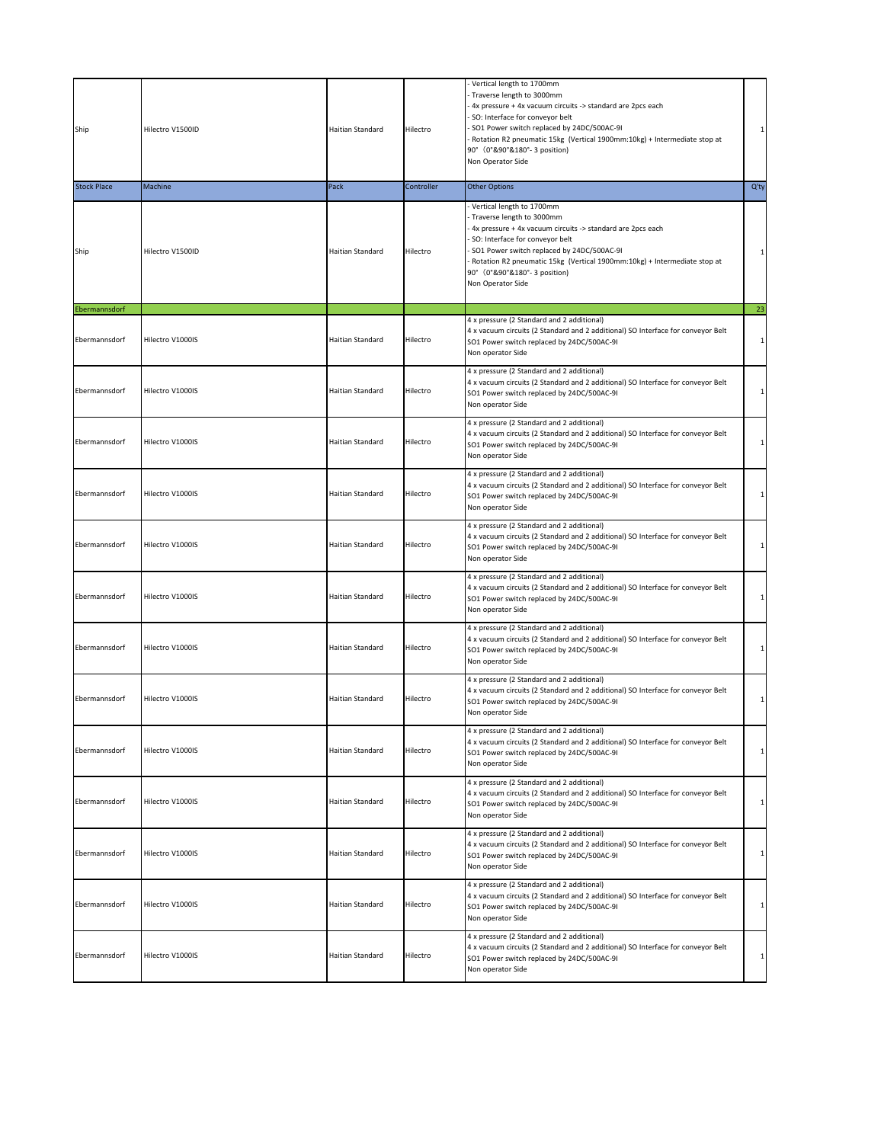| Ship               | Hilectro V1500ID | Haitian Standard | Hilectro   | Vertical length to 1700mm<br>Traverse length to 3000mm<br>4x pressure + 4x vacuum circuits -> standard are 2pcs each<br>SO: Interface for conveyor belt<br>SO1 Power switch replaced by 24DC/500AC-9I<br>Rotation R2 pneumatic 15kg (Vertical 1900mm:10kg) + Intermediate stop at<br>90° (0°&90°&180°-3 position)<br>Non Operator Side |                    |
|--------------------|------------------|------------------|------------|----------------------------------------------------------------------------------------------------------------------------------------------------------------------------------------------------------------------------------------------------------------------------------------------------------------------------------------|--------------------|
| <b>Stock Place</b> | Machine          | Pack             | Controller | <b>Other Options</b>                                                                                                                                                                                                                                                                                                                   | $Q'$ ty            |
| Ship               | Hilectro V1500ID | Haitian Standard | Hilectro   | Vertical length to 1700mm<br>Traverse length to 3000mm<br>4x pressure + 4x vacuum circuits -> standard are 2pcs each<br>SO: Interface for conveyor belt<br>SO1 Power switch replaced by 24DC/500AC-9I<br>Rotation R2 pneumatic 15kg (Vertical 1900mm:10kg) + Intermediate stop at<br>90° (0°&90°&180°-3 position)<br>Non Operator Side | $\mathbf{1}$<br>23 |
| Ebermannsdorf      |                  |                  |            | 4 x pressure (2 Standard and 2 additional)                                                                                                                                                                                                                                                                                             |                    |
| Ebermannsdorf      | Hilectro V1000IS | Haitian Standard | Hilectro   | 4 x vacuum circuits (2 Standard and 2 additional) SO Interface for conveyor Belt<br>SO1 Power switch replaced by 24DC/500AC-9I<br>Non operator Side                                                                                                                                                                                    | 1                  |
| Ebermannsdorf      | Hilectro V1000IS | Haitian Standard | Hilectro   | 4 x pressure (2 Standard and 2 additional)<br>4 x vacuum circuits (2 Standard and 2 additional) SO Interface for conveyor Belt<br>SO1 Power switch replaced by 24DC/500AC-9I<br>Non operator Side                                                                                                                                      | 1                  |
| Ebermannsdorf      | Hilectro V1000IS | Haitian Standard | Hilectro   | 4 x pressure (2 Standard and 2 additional)<br>4 x vacuum circuits (2 Standard and 2 additional) SO Interface for conveyor Belt<br>SO1 Power switch replaced by 24DC/500AC-9I<br>Non operator Side                                                                                                                                      | 1                  |
| Ebermannsdorf      | Hilectro V1000IS | Haitian Standard | Hilectro   | 4 x pressure (2 Standard and 2 additional)<br>4 x vacuum circuits (2 Standard and 2 additional) SO Interface for conveyor Belt<br>SO1 Power switch replaced by 24DC/500AC-9I<br>Non operator Side                                                                                                                                      |                    |
| Ebermannsdorf      | Hilectro V1000IS | Haitian Standard | Hilectro   | 4 x pressure (2 Standard and 2 additional)<br>4 x vacuum circuits (2 Standard and 2 additional) SO Interface for conveyor Belt<br>SO1 Power switch replaced by 24DC/500AC-9I<br>Non operator Side                                                                                                                                      | 1                  |
| Ebermannsdorf      | Hilectro V1000IS | Haitian Standard | Hilectro   | 4 x pressure (2 Standard and 2 additional)<br>4 x vacuum circuits (2 Standard and 2 additional) SO Interface for conveyor Belt<br>SO1 Power switch replaced by 24DC/500AC-9I<br>Non operator Side                                                                                                                                      | 1                  |
| Ebermannsdorf      | Hilectro V1000IS | Haitian Standard | Hilectro   | 4 x pressure (2 Standard and 2 additional)<br>4 x vacuum circuits (2 Standard and 2 additional) SO Interface for conveyor Belt<br>SO1 Power switch replaced by 24DC/500AC-9I<br>Non operator Side                                                                                                                                      | $\mathbf{1}$       |
| Ebermannsdorf      | Hilectro V1000IS | Haitian Standard | Hilectro   | 4 x pressure (2 Standard and 2 additional)<br>4 x vacuum circuits (2 Standard and 2 additional) SO Interface for conveyor Belt<br>SO1 Power switch replaced by 24DC/500AC-9I<br>Non operator Side                                                                                                                                      |                    |
| Ebermannsdorf      | Hilectro V1000IS | Haitian Standard | Hilectro   | 4 x pressure (2 Standard and 2 additional)<br>4 x vacuum circuits (2 Standard and 2 additional) SO Interface for conveyor Belt<br>SO1 Power switch replaced by 24DC/500AC-9I<br>Non operator Side                                                                                                                                      |                    |
| Ebermannsdorf      | Hilectro V1000IS | Haitian Standard | Hilectro   | 4 x pressure (2 Standard and 2 additional)<br>4 x vacuum circuits (2 Standard and 2 additional) SO Interface for conveyor Belt<br>SO1 Power switch replaced by 24DC/500AC-9I<br>Non operator Side                                                                                                                                      |                    |
| Ebermannsdorf      | Hilectro V1000IS | Haitian Standard | Hilectro   | 4 x pressure (2 Standard and 2 additional)<br>4 x vacuum circuits (2 Standard and 2 additional) SO Interface for conveyor Belt<br>SO1 Power switch replaced by 24DC/500AC-9I<br>Non operator Side                                                                                                                                      |                    |
| Ebermannsdorf      | Hilectro V1000IS | Haitian Standard | Hilectro   | 4 x pressure (2 Standard and 2 additional)<br>4 x vacuum circuits (2 Standard and 2 additional) SO Interface for conveyor Belt<br>SO1 Power switch replaced by 24DC/500AC-9I<br>Non operator Side                                                                                                                                      |                    |
| Ebermannsdorf      | Hilectro V1000IS | Haitian Standard | Hilectro   | 4 x pressure (2 Standard and 2 additional)<br>4 x vacuum circuits (2 Standard and 2 additional) SO Interface for conveyor Belt<br>SO1 Power switch replaced by 24DC/500AC-9I<br>Non operator Side                                                                                                                                      |                    |